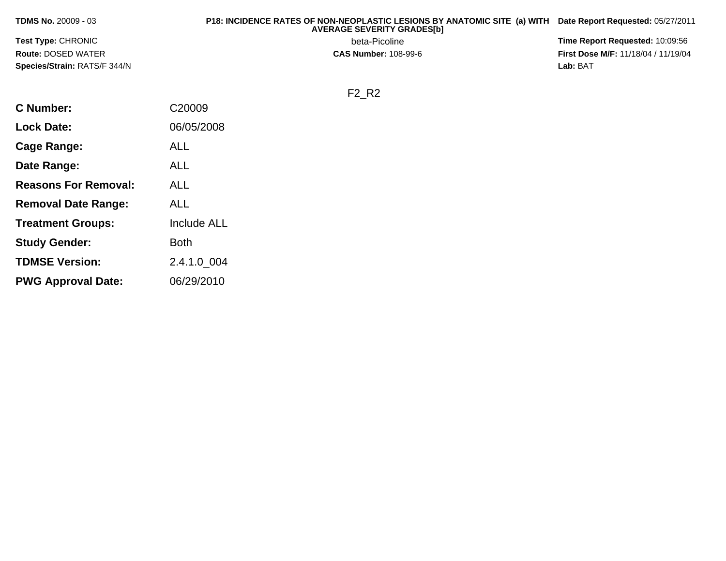| <b>TDMS No. 20009 - 03</b>          | P18: INCIDENCE RATES OF NON-NEOPLASTIC LESIONS BY ANATOMIC SITE (a) WITH Date Report Requested: 05/27/2011<br><b>AVERAGE SEVERITY GRADES[b]</b> |                                            |
|-------------------------------------|-------------------------------------------------------------------------------------------------------------------------------------------------|--------------------------------------------|
| <b>Test Type: CHRONIC</b>           | beta-Picoline                                                                                                                                   | <b>Time Report Requested: 10:09:56</b>     |
| <b>Route: DOSED WATER</b>           | <b>CAS Number: 108-99-6</b>                                                                                                                     | <b>First Dose M/F: 11/18/04 / 11/19/04</b> |
| <b>Species/Strain: RATS/F 344/N</b> |                                                                                                                                                 | Lab: BAT                                   |

F2\_R2

| <b>C Number:</b>            | C20009             |
|-----------------------------|--------------------|
| <b>Lock Date:</b>           | 06/05/2008         |
| <b>Cage Range:</b>          | ALL                |
| Date Range:                 | ALL                |
| <b>Reasons For Removal:</b> | ALL                |
| <b>Removal Date Range:</b>  | ALL                |
| <b>Treatment Groups:</b>    | <b>Include ALL</b> |
| <b>Study Gender:</b>        | <b>Both</b>        |
| <b>TDMSE Version:</b>       | 2.4.1.0_004        |
| <b>PWG Approval Date:</b>   | 06/29/2010         |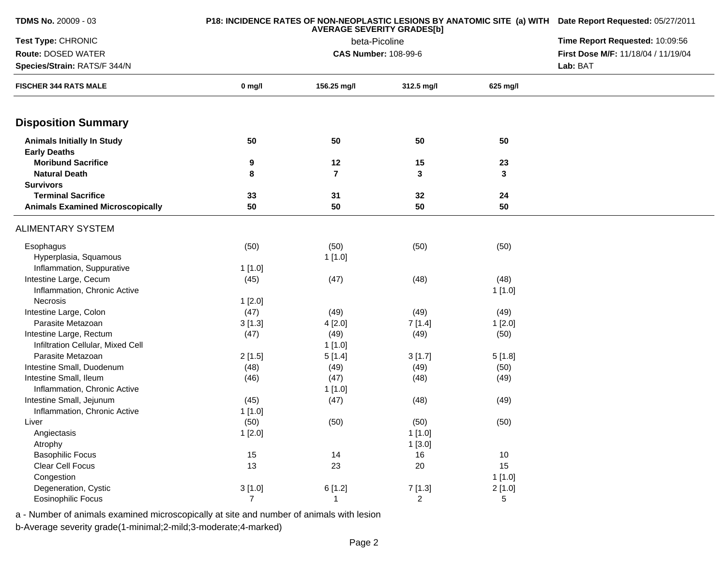| <b>TDMS No. 20009 - 03</b>              |                | P18: INCIDENCE RATES OF NON-NEOPLASTIC LESIONS BY ANATOMIC SITE (a) WITH Date Report Requested: 05/27/2011 |                             |          |                                     |  |
|-----------------------------------------|----------------|------------------------------------------------------------------------------------------------------------|-----------------------------|----------|-------------------------------------|--|
| Test Type: CHRONIC                      |                | Time Report Requested: 10:09:56                                                                            |                             |          |                                     |  |
| Route: DOSED WATER                      |                |                                                                                                            | <b>CAS Number: 108-99-6</b> |          | First Dose M/F: 11/18/04 / 11/19/04 |  |
| Species/Strain: RATS/F 344/N            |                |                                                                                                            |                             |          |                                     |  |
| <b>FISCHER 344 RATS MALE</b>            | $0$ mg/l       | 156.25 mg/l                                                                                                | 312.5 mg/l                  | 625 mg/l |                                     |  |
| <b>Disposition Summary</b>              |                |                                                                                                            |                             |          |                                     |  |
| <b>Animals Initially In Study</b>       | 50             | 50                                                                                                         | 50                          | 50       |                                     |  |
| <b>Early Deaths</b>                     |                |                                                                                                            |                             |          |                                     |  |
| <b>Moribund Sacrifice</b>               | 9              | 12                                                                                                         | 15                          | 23       |                                     |  |
| <b>Natural Death</b>                    | 8              | $\overline{\mathbf{r}}$                                                                                    | 3                           | 3        |                                     |  |
| <b>Survivors</b>                        |                |                                                                                                            |                             |          |                                     |  |
| <b>Terminal Sacrifice</b>               | 33             | 31                                                                                                         | 32                          | 24       |                                     |  |
| <b>Animals Examined Microscopically</b> | 50             | 50                                                                                                         | 50                          | 50       |                                     |  |
| <b>ALIMENTARY SYSTEM</b>                |                |                                                                                                            |                             |          |                                     |  |
| Esophagus                               | (50)           | (50)                                                                                                       | (50)                        | (50)     |                                     |  |
| Hyperplasia, Squamous                   |                | 1[1.0]                                                                                                     |                             |          |                                     |  |
| Inflammation, Suppurative               | 1[1.0]         |                                                                                                            |                             |          |                                     |  |
| Intestine Large, Cecum                  | (45)           | (47)                                                                                                       | (48)                        | (48)     |                                     |  |
| Inflammation, Chronic Active            |                |                                                                                                            |                             | 1[1.0]   |                                     |  |
| Necrosis                                | 1[2.0]         |                                                                                                            |                             |          |                                     |  |
| Intestine Large, Colon                  | (47)           | (49)                                                                                                       | (49)                        | (49)     |                                     |  |
| Parasite Metazoan                       | 3[1.3]         | 4[2.0]                                                                                                     | 7[1.4]                      | 1[2.0]   |                                     |  |
| Intestine Large, Rectum                 | (47)           | (49)                                                                                                       | (49)                        | (50)     |                                     |  |
| Infiltration Cellular, Mixed Cell       |                | 1[1.0]                                                                                                     |                             |          |                                     |  |
| Parasite Metazoan                       | 2[1.5]         | 5[1.4]                                                                                                     | 3[1.7]                      | 5[1.8]   |                                     |  |
| Intestine Small, Duodenum               | (48)           | (49)                                                                                                       | (49)                        | (50)     |                                     |  |
| Intestine Small, Ileum                  | (46)           | (47)                                                                                                       | (48)                        | (49)     |                                     |  |
| Inflammation, Chronic Active            |                | 1[1.0]                                                                                                     |                             |          |                                     |  |
| Intestine Small, Jejunum                | (45)           | (47)                                                                                                       | (48)                        | (49)     |                                     |  |
| Inflammation, Chronic Active            | 1[1.0]         |                                                                                                            |                             |          |                                     |  |
| Liver                                   | (50)           | (50)                                                                                                       | (50)                        | (50)     |                                     |  |
| Angiectasis                             | 1[2.0]         |                                                                                                            | 1[1.0]                      |          |                                     |  |
| Atrophy                                 |                |                                                                                                            | 1[3.0]                      |          |                                     |  |
| <b>Basophilic Focus</b>                 | 15             | 14                                                                                                         | 16                          | 10       |                                     |  |
| Clear Cell Focus                        | 13             | 23                                                                                                         | 20                          | 15       |                                     |  |
| Congestion                              |                |                                                                                                            |                             | 1[1.0]   |                                     |  |
| Degeneration, Cystic                    | 3[1.0]         | 6[1.2]                                                                                                     | 7[1.3]                      | 2[1.0]   |                                     |  |
| <b>Eosinophilic Focus</b>               | $\overline{7}$ | 1                                                                                                          | $\overline{a}$              | 5        |                                     |  |
|                                         |                |                                                                                                            |                             |          |                                     |  |

a - Number of animals examined microscopically at site and number of animals with lesion

b-Average severity grade(1-minimal;2-mild;3-moderate;4-marked)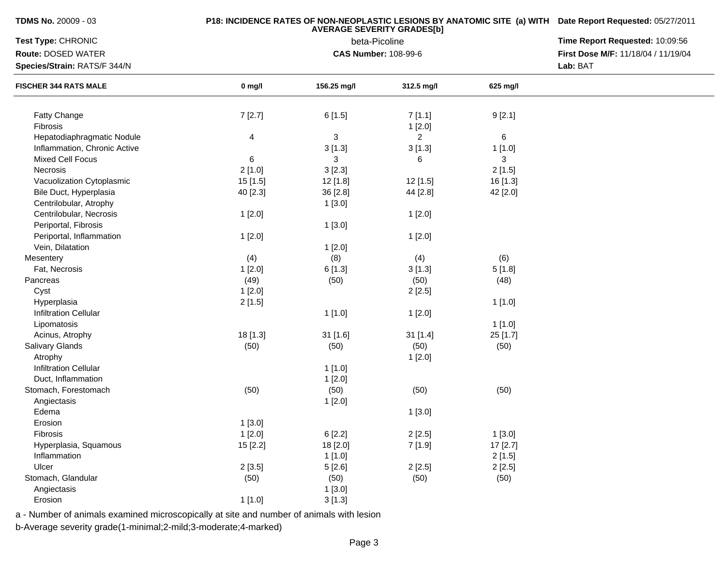| <b>TDMS No. 20009 - 03</b> |  |  |  |  |  |
|----------------------------|--|--|--|--|--|
|----------------------------|--|--|--|--|--|

## **P18: INCIDENCE RATES OF NON-NEOPLASTIC LESIONS BY ANATOMIC SITE (a) WITH AVERAGE SEVERITY GRADES[b] Date Report Requested:** 05/27/2011

| Route: DOSED WATER<br><b>CAS Number: 108-99-6</b><br>Lab: BAT<br>Species/Strain: RATS/F 344/N<br>$0$ mg/l<br>156.25 mg/l<br>312.5 mg/l<br>625 mg/l<br><b>FISCHER 344 RATS MALE</b><br>7[2.7]<br>Fatty Change<br>6[1.5]<br>9[2.1]<br>7[1.1]<br>Fibrosis<br>1[2.0]<br>$\ensuremath{\mathsf{3}}$<br>$\,6\,$<br>Hepatodiaphragmatic Nodule<br>4<br>$\overline{2}$<br>Inflammation, Chronic Active<br>3[1.3]<br>3[1.3]<br>1[1.0]<br>6<br>Mixed Cell Focus<br>3<br>6<br>3<br><b>Necrosis</b><br>2[1.0]<br>3[2.3]<br>2[1.5]<br>Vacuolization Cytoplasmic<br>15 [1.5]<br>12 [1.8]<br>12 [1.5]<br>16 [1.3]<br>Bile Duct, Hyperplasia<br>40 [2.3]<br>36 [2.8]<br>44 [2.8]<br>42 [2.0]<br>Centrilobular, Atrophy<br>1[3.0]<br>Centrilobular, Necrosis<br>1[2.0]<br>1[2.0]<br>Periportal, Fibrosis<br>1[3.0]<br>Periportal, Inflammation<br>1[2.0]<br>1[2.0]<br>Vein, Dilatation<br>1[2.0]<br>(4)<br>Mesentery<br>(4)<br>(8)<br>(6)<br>Fat, Necrosis<br>1[2.0]<br>6[1.3]<br>3[1.3]<br>5[1.8]<br>(49)<br>(50)<br>(48)<br>Pancreas<br>(50)<br>Cyst<br>1[2.0]<br>2[2.5]<br>Hyperplasia<br>2[1.5]<br>1[1.0]<br><b>Infiltration Cellular</b><br>1[1.0]<br>1[2.0]<br>1[1.0]<br>Lipomatosis<br>18 [1.3]<br>25 [1.7]<br>Acinus, Atrophy<br>31 [1.6]<br>31 [1.4]<br>(50)<br>Salivary Glands<br>(50)<br>(50)<br>(50)<br>Atrophy<br>1[2.0]<br><b>Infiltration Cellular</b><br>1[1.0]<br>Duct, Inflammation<br>1[2.0]<br>Stomach, Forestomach<br>(50)<br>(50)<br>(50)<br>(50)<br>Angiectasis<br>1[2.0]<br>Edema<br>1[3.0]<br>Erosion<br>1[3.0] | Time Report Requested: 10:09:56     |
|------------------------------------------------------------------------------------------------------------------------------------------------------------------------------------------------------------------------------------------------------------------------------------------------------------------------------------------------------------------------------------------------------------------------------------------------------------------------------------------------------------------------------------------------------------------------------------------------------------------------------------------------------------------------------------------------------------------------------------------------------------------------------------------------------------------------------------------------------------------------------------------------------------------------------------------------------------------------------------------------------------------------------------------------------------------------------------------------------------------------------------------------------------------------------------------------------------------------------------------------------------------------------------------------------------------------------------------------------------------------------------------------------------------------------------------------------------------------------------------------------------------------|-------------------------------------|
|                                                                                                                                                                                                                                                                                                                                                                                                                                                                                                                                                                                                                                                                                                                                                                                                                                                                                                                                                                                                                                                                                                                                                                                                                                                                                                                                                                                                                                                                                                                        | First Dose M/F: 11/18/04 / 11/19/04 |
|                                                                                                                                                                                                                                                                                                                                                                                                                                                                                                                                                                                                                                                                                                                                                                                                                                                                                                                                                                                                                                                                                                                                                                                                                                                                                                                                                                                                                                                                                                                        |                                     |
|                                                                                                                                                                                                                                                                                                                                                                                                                                                                                                                                                                                                                                                                                                                                                                                                                                                                                                                                                                                                                                                                                                                                                                                                                                                                                                                                                                                                                                                                                                                        |                                     |
|                                                                                                                                                                                                                                                                                                                                                                                                                                                                                                                                                                                                                                                                                                                                                                                                                                                                                                                                                                                                                                                                                                                                                                                                                                                                                                                                                                                                                                                                                                                        |                                     |
|                                                                                                                                                                                                                                                                                                                                                                                                                                                                                                                                                                                                                                                                                                                                                                                                                                                                                                                                                                                                                                                                                                                                                                                                                                                                                                                                                                                                                                                                                                                        |                                     |
|                                                                                                                                                                                                                                                                                                                                                                                                                                                                                                                                                                                                                                                                                                                                                                                                                                                                                                                                                                                                                                                                                                                                                                                                                                                                                                                                                                                                                                                                                                                        |                                     |
|                                                                                                                                                                                                                                                                                                                                                                                                                                                                                                                                                                                                                                                                                                                                                                                                                                                                                                                                                                                                                                                                                                                                                                                                                                                                                                                                                                                                                                                                                                                        |                                     |
|                                                                                                                                                                                                                                                                                                                                                                                                                                                                                                                                                                                                                                                                                                                                                                                                                                                                                                                                                                                                                                                                                                                                                                                                                                                                                                                                                                                                                                                                                                                        |                                     |
|                                                                                                                                                                                                                                                                                                                                                                                                                                                                                                                                                                                                                                                                                                                                                                                                                                                                                                                                                                                                                                                                                                                                                                                                                                                                                                                                                                                                                                                                                                                        |                                     |
|                                                                                                                                                                                                                                                                                                                                                                                                                                                                                                                                                                                                                                                                                                                                                                                                                                                                                                                                                                                                                                                                                                                                                                                                                                                                                                                                                                                                                                                                                                                        |                                     |
|                                                                                                                                                                                                                                                                                                                                                                                                                                                                                                                                                                                                                                                                                                                                                                                                                                                                                                                                                                                                                                                                                                                                                                                                                                                                                                                                                                                                                                                                                                                        |                                     |
|                                                                                                                                                                                                                                                                                                                                                                                                                                                                                                                                                                                                                                                                                                                                                                                                                                                                                                                                                                                                                                                                                                                                                                                                                                                                                                                                                                                                                                                                                                                        |                                     |
|                                                                                                                                                                                                                                                                                                                                                                                                                                                                                                                                                                                                                                                                                                                                                                                                                                                                                                                                                                                                                                                                                                                                                                                                                                                                                                                                                                                                                                                                                                                        |                                     |
|                                                                                                                                                                                                                                                                                                                                                                                                                                                                                                                                                                                                                                                                                                                                                                                                                                                                                                                                                                                                                                                                                                                                                                                                                                                                                                                                                                                                                                                                                                                        |                                     |
|                                                                                                                                                                                                                                                                                                                                                                                                                                                                                                                                                                                                                                                                                                                                                                                                                                                                                                                                                                                                                                                                                                                                                                                                                                                                                                                                                                                                                                                                                                                        |                                     |
|                                                                                                                                                                                                                                                                                                                                                                                                                                                                                                                                                                                                                                                                                                                                                                                                                                                                                                                                                                                                                                                                                                                                                                                                                                                                                                                                                                                                                                                                                                                        |                                     |
|                                                                                                                                                                                                                                                                                                                                                                                                                                                                                                                                                                                                                                                                                                                                                                                                                                                                                                                                                                                                                                                                                                                                                                                                                                                                                                                                                                                                                                                                                                                        |                                     |
|                                                                                                                                                                                                                                                                                                                                                                                                                                                                                                                                                                                                                                                                                                                                                                                                                                                                                                                                                                                                                                                                                                                                                                                                                                                                                                                                                                                                                                                                                                                        |                                     |
|                                                                                                                                                                                                                                                                                                                                                                                                                                                                                                                                                                                                                                                                                                                                                                                                                                                                                                                                                                                                                                                                                                                                                                                                                                                                                                                                                                                                                                                                                                                        |                                     |
|                                                                                                                                                                                                                                                                                                                                                                                                                                                                                                                                                                                                                                                                                                                                                                                                                                                                                                                                                                                                                                                                                                                                                                                                                                                                                                                                                                                                                                                                                                                        |                                     |
|                                                                                                                                                                                                                                                                                                                                                                                                                                                                                                                                                                                                                                                                                                                                                                                                                                                                                                                                                                                                                                                                                                                                                                                                                                                                                                                                                                                                                                                                                                                        |                                     |
|                                                                                                                                                                                                                                                                                                                                                                                                                                                                                                                                                                                                                                                                                                                                                                                                                                                                                                                                                                                                                                                                                                                                                                                                                                                                                                                                                                                                                                                                                                                        |                                     |
|                                                                                                                                                                                                                                                                                                                                                                                                                                                                                                                                                                                                                                                                                                                                                                                                                                                                                                                                                                                                                                                                                                                                                                                                                                                                                                                                                                                                                                                                                                                        |                                     |
|                                                                                                                                                                                                                                                                                                                                                                                                                                                                                                                                                                                                                                                                                                                                                                                                                                                                                                                                                                                                                                                                                                                                                                                                                                                                                                                                                                                                                                                                                                                        |                                     |
|                                                                                                                                                                                                                                                                                                                                                                                                                                                                                                                                                                                                                                                                                                                                                                                                                                                                                                                                                                                                                                                                                                                                                                                                                                                                                                                                                                                                                                                                                                                        |                                     |
|                                                                                                                                                                                                                                                                                                                                                                                                                                                                                                                                                                                                                                                                                                                                                                                                                                                                                                                                                                                                                                                                                                                                                                                                                                                                                                                                                                                                                                                                                                                        |                                     |
|                                                                                                                                                                                                                                                                                                                                                                                                                                                                                                                                                                                                                                                                                                                                                                                                                                                                                                                                                                                                                                                                                                                                                                                                                                                                                                                                                                                                                                                                                                                        |                                     |
|                                                                                                                                                                                                                                                                                                                                                                                                                                                                                                                                                                                                                                                                                                                                                                                                                                                                                                                                                                                                                                                                                                                                                                                                                                                                                                                                                                                                                                                                                                                        |                                     |
|                                                                                                                                                                                                                                                                                                                                                                                                                                                                                                                                                                                                                                                                                                                                                                                                                                                                                                                                                                                                                                                                                                                                                                                                                                                                                                                                                                                                                                                                                                                        |                                     |
|                                                                                                                                                                                                                                                                                                                                                                                                                                                                                                                                                                                                                                                                                                                                                                                                                                                                                                                                                                                                                                                                                                                                                                                                                                                                                                                                                                                                                                                                                                                        |                                     |
|                                                                                                                                                                                                                                                                                                                                                                                                                                                                                                                                                                                                                                                                                                                                                                                                                                                                                                                                                                                                                                                                                                                                                                                                                                                                                                                                                                                                                                                                                                                        |                                     |
|                                                                                                                                                                                                                                                                                                                                                                                                                                                                                                                                                                                                                                                                                                                                                                                                                                                                                                                                                                                                                                                                                                                                                                                                                                                                                                                                                                                                                                                                                                                        |                                     |
| Fibrosis<br>1[2.0]<br>6[2.2]<br>2[2.5]<br>1[3.0]                                                                                                                                                                                                                                                                                                                                                                                                                                                                                                                                                                                                                                                                                                                                                                                                                                                                                                                                                                                                                                                                                                                                                                                                                                                                                                                                                                                                                                                                       |                                     |
| Hyperplasia, Squamous<br>15 [2.2]<br>18 [2.0]<br>7 [1.9]<br>17 [2.7]                                                                                                                                                                                                                                                                                                                                                                                                                                                                                                                                                                                                                                                                                                                                                                                                                                                                                                                                                                                                                                                                                                                                                                                                                                                                                                                                                                                                                                                   |                                     |
| Inflammation<br>1[1.0]<br>2[1.5]                                                                                                                                                                                                                                                                                                                                                                                                                                                                                                                                                                                                                                                                                                                                                                                                                                                                                                                                                                                                                                                                                                                                                                                                                                                                                                                                                                                                                                                                                       |                                     |
| Ulcer<br>2[2.5]<br>2[3.5]<br>5[2.6]<br>2[2.5]                                                                                                                                                                                                                                                                                                                                                                                                                                                                                                                                                                                                                                                                                                                                                                                                                                                                                                                                                                                                                                                                                                                                                                                                                                                                                                                                                                                                                                                                          |                                     |
| Stomach, Glandular<br>(50)<br>(50)<br>(50)<br>(50)                                                                                                                                                                                                                                                                                                                                                                                                                                                                                                                                                                                                                                                                                                                                                                                                                                                                                                                                                                                                                                                                                                                                                                                                                                                                                                                                                                                                                                                                     |                                     |
| Angiectasis<br>1[3.0]                                                                                                                                                                                                                                                                                                                                                                                                                                                                                                                                                                                                                                                                                                                                                                                                                                                                                                                                                                                                                                                                                                                                                                                                                                                                                                                                                                                                                                                                                                  |                                     |
| Erosion<br>1[1.0]<br>3[1.3]                                                                                                                                                                                                                                                                                                                                                                                                                                                                                                                                                                                                                                                                                                                                                                                                                                                                                                                                                                                                                                                                                                                                                                                                                                                                                                                                                                                                                                                                                            |                                     |

a - Number of animals examined microscopically at site and number of animals with lesion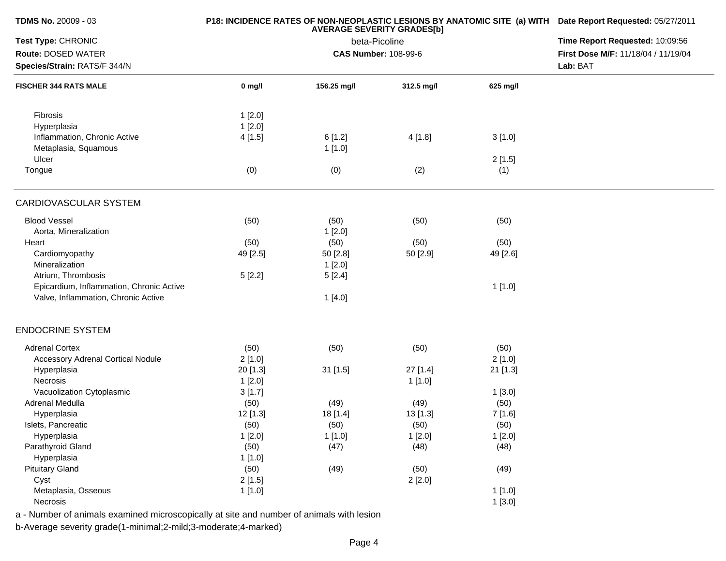| <b>AVERAGE SEVERITY GRADES[b]</b><br>Test Type: CHRONIC<br>Time Report Requested: 10:09:56<br>beta-Picoline<br>Route: DOSED WATER<br><b>CAS Number: 108-99-6</b><br>First Dose M/F: 11/18/04 / 11/19/04<br>Lab: BAT<br>Species/Strain: RATS/F 344/N<br><b>FISCHER 344 RATS MALE</b><br>156.25 mg/l<br>312.5 mg/l<br>625 mg/l<br>$0$ mg/l<br>Fibrosis<br>1[2.0]<br>1[2.0]<br>Hyperplasia<br>Inflammation, Chronic Active<br>4[1.5]<br>6[1.2]<br>4[1.8]<br>3[1.0]<br>Metaplasia, Squamous<br>1[1.0]<br>Ulcer<br>2[1.5]<br>(0)<br>(0)<br>(2)<br>(1)<br>Tongue<br>CARDIOVASCULAR SYSTEM<br><b>Blood Vessel</b><br>(50)<br>(50)<br>(50)<br>(50)<br>Aorta, Mineralization<br>1[2.0]<br>(50)<br>(50)<br>(50)<br>(50)<br>Heart<br>Cardiomyopathy<br>49 [2.5]<br>50 [2.9]<br>50 [2.8]<br>49 [2.6]<br>Mineralization<br>1[2.0]<br>Atrium, Thrombosis<br>5[2.2]<br>5[2.4]<br>Epicardium, Inflammation, Chronic Active<br>1 [1.0]<br>Valve, Inflammation, Chronic Active<br>1[4.0]<br><b>ENDOCRINE SYSTEM</b><br><b>Adrenal Cortex</b><br>(50)<br>(50)<br>(50)<br>(50)<br><b>Accessory Adrenal Cortical Nodule</b><br>2[1.0]<br>2[1.0]<br>Hyperplasia<br>20 [1.3]<br>$31$ [1.5]<br>27 [1.4]<br>21 [1.3]<br>Necrosis<br>1[2.0]<br>1[1.0]<br>Vacuolization Cytoplasmic<br>3[1.7]<br>1[3.0]<br>Adrenal Medulla<br>(50)<br>(49)<br>(49)<br>(50)<br>Hyperplasia<br>12 [1.3]<br>18 [1.4]<br>13 [1.3]<br>7 [1.6]<br>(50)<br>Islets, Pancreatic<br>(50)<br>(50)<br>(50)<br>Hyperplasia<br>1[2.0]<br>1[1.0]<br>1[2.0]<br>1[2.0]<br>Parathyroid Gland<br>(50)<br>(47)<br>(48)<br>(48)<br>Hyperplasia<br>1 [1.0]<br><b>Pituitary Gland</b><br>(49)<br>(50)<br>(49)<br>(50)<br>Cyst<br>2[1.5]<br>2[2.0]<br>Metaplasia, Osseous<br>1[1.0]<br>1[1.0]<br>Necrosis<br>1[3.0] | <b>TDMS No. 20009 - 03</b> |  | P18: INCIDENCE RATES OF NON-NEOPLASTIC LESIONS BY ANATOMIC SITE (a) WITH Date Report Requested: 05/27/2011 |  |  |
|--------------------------------------------------------------------------------------------------------------------------------------------------------------------------------------------------------------------------------------------------------------------------------------------------------------------------------------------------------------------------------------------------------------------------------------------------------------------------------------------------------------------------------------------------------------------------------------------------------------------------------------------------------------------------------------------------------------------------------------------------------------------------------------------------------------------------------------------------------------------------------------------------------------------------------------------------------------------------------------------------------------------------------------------------------------------------------------------------------------------------------------------------------------------------------------------------------------------------------------------------------------------------------------------------------------------------------------------------------------------------------------------------------------------------------------------------------------------------------------------------------------------------------------------------------------------------------------------------------------------------------------------------------------------------------------------------------------------------------------------------|----------------------------|--|------------------------------------------------------------------------------------------------------------|--|--|
|                                                                                                                                                                                                                                                                                                                                                                                                                                                                                                                                                                                                                                                                                                                                                                                                                                                                                                                                                                                                                                                                                                                                                                                                                                                                                                                                                                                                                                                                                                                                                                                                                                                                                                                                                  |                            |  |                                                                                                            |  |  |
|                                                                                                                                                                                                                                                                                                                                                                                                                                                                                                                                                                                                                                                                                                                                                                                                                                                                                                                                                                                                                                                                                                                                                                                                                                                                                                                                                                                                                                                                                                                                                                                                                                                                                                                                                  |                            |  |                                                                                                            |  |  |
|                                                                                                                                                                                                                                                                                                                                                                                                                                                                                                                                                                                                                                                                                                                                                                                                                                                                                                                                                                                                                                                                                                                                                                                                                                                                                                                                                                                                                                                                                                                                                                                                                                                                                                                                                  |                            |  |                                                                                                            |  |  |
|                                                                                                                                                                                                                                                                                                                                                                                                                                                                                                                                                                                                                                                                                                                                                                                                                                                                                                                                                                                                                                                                                                                                                                                                                                                                                                                                                                                                                                                                                                                                                                                                                                                                                                                                                  |                            |  |                                                                                                            |  |  |
|                                                                                                                                                                                                                                                                                                                                                                                                                                                                                                                                                                                                                                                                                                                                                                                                                                                                                                                                                                                                                                                                                                                                                                                                                                                                                                                                                                                                                                                                                                                                                                                                                                                                                                                                                  |                            |  |                                                                                                            |  |  |
|                                                                                                                                                                                                                                                                                                                                                                                                                                                                                                                                                                                                                                                                                                                                                                                                                                                                                                                                                                                                                                                                                                                                                                                                                                                                                                                                                                                                                                                                                                                                                                                                                                                                                                                                                  |                            |  |                                                                                                            |  |  |
|                                                                                                                                                                                                                                                                                                                                                                                                                                                                                                                                                                                                                                                                                                                                                                                                                                                                                                                                                                                                                                                                                                                                                                                                                                                                                                                                                                                                                                                                                                                                                                                                                                                                                                                                                  |                            |  |                                                                                                            |  |  |
|                                                                                                                                                                                                                                                                                                                                                                                                                                                                                                                                                                                                                                                                                                                                                                                                                                                                                                                                                                                                                                                                                                                                                                                                                                                                                                                                                                                                                                                                                                                                                                                                                                                                                                                                                  |                            |  |                                                                                                            |  |  |
|                                                                                                                                                                                                                                                                                                                                                                                                                                                                                                                                                                                                                                                                                                                                                                                                                                                                                                                                                                                                                                                                                                                                                                                                                                                                                                                                                                                                                                                                                                                                                                                                                                                                                                                                                  |                            |  |                                                                                                            |  |  |
|                                                                                                                                                                                                                                                                                                                                                                                                                                                                                                                                                                                                                                                                                                                                                                                                                                                                                                                                                                                                                                                                                                                                                                                                                                                                                                                                                                                                                                                                                                                                                                                                                                                                                                                                                  |                            |  |                                                                                                            |  |  |
|                                                                                                                                                                                                                                                                                                                                                                                                                                                                                                                                                                                                                                                                                                                                                                                                                                                                                                                                                                                                                                                                                                                                                                                                                                                                                                                                                                                                                                                                                                                                                                                                                                                                                                                                                  |                            |  |                                                                                                            |  |  |
|                                                                                                                                                                                                                                                                                                                                                                                                                                                                                                                                                                                                                                                                                                                                                                                                                                                                                                                                                                                                                                                                                                                                                                                                                                                                                                                                                                                                                                                                                                                                                                                                                                                                                                                                                  |                            |  |                                                                                                            |  |  |
|                                                                                                                                                                                                                                                                                                                                                                                                                                                                                                                                                                                                                                                                                                                                                                                                                                                                                                                                                                                                                                                                                                                                                                                                                                                                                                                                                                                                                                                                                                                                                                                                                                                                                                                                                  |                            |  |                                                                                                            |  |  |
|                                                                                                                                                                                                                                                                                                                                                                                                                                                                                                                                                                                                                                                                                                                                                                                                                                                                                                                                                                                                                                                                                                                                                                                                                                                                                                                                                                                                                                                                                                                                                                                                                                                                                                                                                  |                            |  |                                                                                                            |  |  |
|                                                                                                                                                                                                                                                                                                                                                                                                                                                                                                                                                                                                                                                                                                                                                                                                                                                                                                                                                                                                                                                                                                                                                                                                                                                                                                                                                                                                                                                                                                                                                                                                                                                                                                                                                  |                            |  |                                                                                                            |  |  |
|                                                                                                                                                                                                                                                                                                                                                                                                                                                                                                                                                                                                                                                                                                                                                                                                                                                                                                                                                                                                                                                                                                                                                                                                                                                                                                                                                                                                                                                                                                                                                                                                                                                                                                                                                  |                            |  |                                                                                                            |  |  |
|                                                                                                                                                                                                                                                                                                                                                                                                                                                                                                                                                                                                                                                                                                                                                                                                                                                                                                                                                                                                                                                                                                                                                                                                                                                                                                                                                                                                                                                                                                                                                                                                                                                                                                                                                  |                            |  |                                                                                                            |  |  |
|                                                                                                                                                                                                                                                                                                                                                                                                                                                                                                                                                                                                                                                                                                                                                                                                                                                                                                                                                                                                                                                                                                                                                                                                                                                                                                                                                                                                                                                                                                                                                                                                                                                                                                                                                  |                            |  |                                                                                                            |  |  |
|                                                                                                                                                                                                                                                                                                                                                                                                                                                                                                                                                                                                                                                                                                                                                                                                                                                                                                                                                                                                                                                                                                                                                                                                                                                                                                                                                                                                                                                                                                                                                                                                                                                                                                                                                  |                            |  |                                                                                                            |  |  |
|                                                                                                                                                                                                                                                                                                                                                                                                                                                                                                                                                                                                                                                                                                                                                                                                                                                                                                                                                                                                                                                                                                                                                                                                                                                                                                                                                                                                                                                                                                                                                                                                                                                                                                                                                  |                            |  |                                                                                                            |  |  |
|                                                                                                                                                                                                                                                                                                                                                                                                                                                                                                                                                                                                                                                                                                                                                                                                                                                                                                                                                                                                                                                                                                                                                                                                                                                                                                                                                                                                                                                                                                                                                                                                                                                                                                                                                  |                            |  |                                                                                                            |  |  |
|                                                                                                                                                                                                                                                                                                                                                                                                                                                                                                                                                                                                                                                                                                                                                                                                                                                                                                                                                                                                                                                                                                                                                                                                                                                                                                                                                                                                                                                                                                                                                                                                                                                                                                                                                  |                            |  |                                                                                                            |  |  |
|                                                                                                                                                                                                                                                                                                                                                                                                                                                                                                                                                                                                                                                                                                                                                                                                                                                                                                                                                                                                                                                                                                                                                                                                                                                                                                                                                                                                                                                                                                                                                                                                                                                                                                                                                  |                            |  |                                                                                                            |  |  |
|                                                                                                                                                                                                                                                                                                                                                                                                                                                                                                                                                                                                                                                                                                                                                                                                                                                                                                                                                                                                                                                                                                                                                                                                                                                                                                                                                                                                                                                                                                                                                                                                                                                                                                                                                  |                            |  |                                                                                                            |  |  |
|                                                                                                                                                                                                                                                                                                                                                                                                                                                                                                                                                                                                                                                                                                                                                                                                                                                                                                                                                                                                                                                                                                                                                                                                                                                                                                                                                                                                                                                                                                                                                                                                                                                                                                                                                  |                            |  |                                                                                                            |  |  |
|                                                                                                                                                                                                                                                                                                                                                                                                                                                                                                                                                                                                                                                                                                                                                                                                                                                                                                                                                                                                                                                                                                                                                                                                                                                                                                                                                                                                                                                                                                                                                                                                                                                                                                                                                  |                            |  |                                                                                                            |  |  |
|                                                                                                                                                                                                                                                                                                                                                                                                                                                                                                                                                                                                                                                                                                                                                                                                                                                                                                                                                                                                                                                                                                                                                                                                                                                                                                                                                                                                                                                                                                                                                                                                                                                                                                                                                  |                            |  |                                                                                                            |  |  |
|                                                                                                                                                                                                                                                                                                                                                                                                                                                                                                                                                                                                                                                                                                                                                                                                                                                                                                                                                                                                                                                                                                                                                                                                                                                                                                                                                                                                                                                                                                                                                                                                                                                                                                                                                  |                            |  |                                                                                                            |  |  |
|                                                                                                                                                                                                                                                                                                                                                                                                                                                                                                                                                                                                                                                                                                                                                                                                                                                                                                                                                                                                                                                                                                                                                                                                                                                                                                                                                                                                                                                                                                                                                                                                                                                                                                                                                  |                            |  |                                                                                                            |  |  |
|                                                                                                                                                                                                                                                                                                                                                                                                                                                                                                                                                                                                                                                                                                                                                                                                                                                                                                                                                                                                                                                                                                                                                                                                                                                                                                                                                                                                                                                                                                                                                                                                                                                                                                                                                  |                            |  |                                                                                                            |  |  |
|                                                                                                                                                                                                                                                                                                                                                                                                                                                                                                                                                                                                                                                                                                                                                                                                                                                                                                                                                                                                                                                                                                                                                                                                                                                                                                                                                                                                                                                                                                                                                                                                                                                                                                                                                  |                            |  |                                                                                                            |  |  |
|                                                                                                                                                                                                                                                                                                                                                                                                                                                                                                                                                                                                                                                                                                                                                                                                                                                                                                                                                                                                                                                                                                                                                                                                                                                                                                                                                                                                                                                                                                                                                                                                                                                                                                                                                  |                            |  |                                                                                                            |  |  |
|                                                                                                                                                                                                                                                                                                                                                                                                                                                                                                                                                                                                                                                                                                                                                                                                                                                                                                                                                                                                                                                                                                                                                                                                                                                                                                                                                                                                                                                                                                                                                                                                                                                                                                                                                  |                            |  |                                                                                                            |  |  |
|                                                                                                                                                                                                                                                                                                                                                                                                                                                                                                                                                                                                                                                                                                                                                                                                                                                                                                                                                                                                                                                                                                                                                                                                                                                                                                                                                                                                                                                                                                                                                                                                                                                                                                                                                  |                            |  |                                                                                                            |  |  |
|                                                                                                                                                                                                                                                                                                                                                                                                                                                                                                                                                                                                                                                                                                                                                                                                                                                                                                                                                                                                                                                                                                                                                                                                                                                                                                                                                                                                                                                                                                                                                                                                                                                                                                                                                  |                            |  |                                                                                                            |  |  |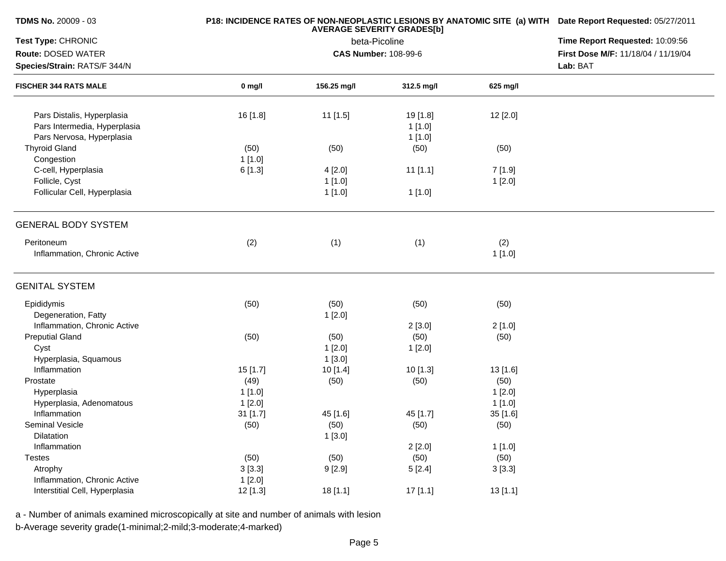| <b>TDMS No. 20009 - 03</b>                                                              |          | P18: INCIDENCE RATES OF NON-NEOPLASTIC LESIONS BY ANATOMIC SITE (a) WITH Date Report Requested: 05/27/2011 |                              |               |                                     |  |  |
|-----------------------------------------------------------------------------------------|----------|------------------------------------------------------------------------------------------------------------|------------------------------|---------------|-------------------------------------|--|--|
| Test Type: CHRONIC                                                                      |          | <b>AVERAGE SEVERITY GRADES[b]</b><br>Time Report Requested: 10:09:56<br>beta-Picoline                      |                              |               |                                     |  |  |
| Route: DOSED WATER                                                                      |          |                                                                                                            | <b>CAS Number: 108-99-6</b>  |               | First Dose M/F: 11/18/04 / 11/19/04 |  |  |
| Species/Strain: RATS/F 344/N                                                            |          |                                                                                                            |                              |               |                                     |  |  |
| <b>FISCHER 344 RATS MALE</b>                                                            | $0$ mg/l | 156.25 mg/l                                                                                                | 312.5 mg/l                   | 625 mg/l      |                                     |  |  |
| Pars Distalis, Hyperplasia<br>Pars Intermedia, Hyperplasia<br>Pars Nervosa, Hyperplasia | 16 [1.8] | 11 [1.5]                                                                                                   | 19 [1.8]<br>1[1.0]<br>1[1.0] | 12 [2.0]      |                                     |  |  |
| <b>Thyroid Gland</b>                                                                    | (50)     | (50)                                                                                                       | (50)                         | (50)          |                                     |  |  |
| Congestion                                                                              | 1[1.0]   |                                                                                                            |                              |               |                                     |  |  |
| C-cell, Hyperplasia                                                                     | 6[1.3]   | 4[2.0]                                                                                                     | $11$ [1.1]                   | 7 [1.9]       |                                     |  |  |
| Follicle, Cyst                                                                          |          | 1[1.0]                                                                                                     |                              | 1[2.0]        |                                     |  |  |
| Follicular Cell, Hyperplasia                                                            |          | 1[1.0]                                                                                                     | 1 [1.0]                      |               |                                     |  |  |
| <b>GENERAL BODY SYSTEM</b>                                                              |          |                                                                                                            |                              |               |                                     |  |  |
| Peritoneum<br>Inflammation, Chronic Active                                              | (2)      | (1)                                                                                                        | (1)                          | (2)<br>1[1.0] |                                     |  |  |
| <b>GENITAL SYSTEM</b>                                                                   |          |                                                                                                            |                              |               |                                     |  |  |
| Epididymis<br>Degeneration, Fatty                                                       | (50)     | (50)<br>1[2.0]                                                                                             | (50)                         | (50)          |                                     |  |  |
| Inflammation, Chronic Active                                                            |          |                                                                                                            | 2[3.0]                       | 2[1.0]        |                                     |  |  |
| <b>Preputial Gland</b>                                                                  | (50)     | (50)                                                                                                       | (50)                         | (50)          |                                     |  |  |
| Cyst                                                                                    |          | 1[2.0]                                                                                                     | 1[2.0]                       |               |                                     |  |  |
| Hyperplasia, Squamous                                                                   |          | 1[3.0]                                                                                                     |                              |               |                                     |  |  |
| Inflammation                                                                            | 15 [1.7] | 10 [1.4]                                                                                                   | 10 [1.3]                     | 13[1.6]       |                                     |  |  |
| Prostate                                                                                | (49)     | (50)                                                                                                       | (50)                         | (50)          |                                     |  |  |
| Hyperplasia                                                                             | 1[1.0]   |                                                                                                            |                              | 1[2.0]        |                                     |  |  |
| Hyperplasia, Adenomatous                                                                | 1[2.0]   |                                                                                                            |                              | 1 [1.0]       |                                     |  |  |
| Inflammation                                                                            | 31 [1.7] | 45 [1.6]                                                                                                   | 45 [1.7]                     | 35 [1.6]      |                                     |  |  |
| <b>Seminal Vesicle</b>                                                                  | (50)     | (50)                                                                                                       | (50)                         | (50)          |                                     |  |  |
| Dilatation                                                                              |          | 1[3.0]                                                                                                     |                              |               |                                     |  |  |
| Inflammation                                                                            |          |                                                                                                            | 2[2.0]                       | 1[1.0]        |                                     |  |  |
| <b>Testes</b>                                                                           | (50)     | (50)                                                                                                       | (50)                         | (50)          |                                     |  |  |
| Atrophy                                                                                 | 3[3.3]   | 9[2.9]                                                                                                     | 5[2.4]                       | 3[3.3]        |                                     |  |  |
| Inflammation, Chronic Active                                                            | 1[2.0]   |                                                                                                            |                              |               |                                     |  |  |
| Interstitial Cell, Hyperplasia                                                          | 12 [1.3] | 18 [1.1]                                                                                                   | 17[1.1]                      | 13[1.1]       |                                     |  |  |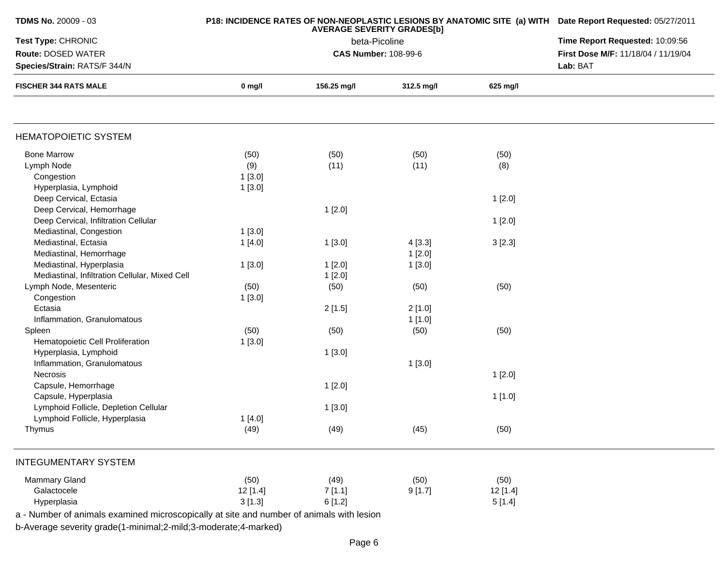| <b>TDMS No. 20009 - 03</b>                     |          | P18: INCIDENCE RATES OF NON-NEOPLASTIC LESIONS BY ANATOMIC SITE (a) WITH Date Report Requested: 05/27/2011 |                             |          |                                     |
|------------------------------------------------|----------|------------------------------------------------------------------------------------------------------------|-----------------------------|----------|-------------------------------------|
| Test Type: CHRONIC                             |          | Time Report Requested: 10:09:56                                                                            |                             |          |                                     |
| Route: DOSED WATER                             |          |                                                                                                            | <b>CAS Number: 108-99-6</b> |          | First Dose M/F: 11/18/04 / 11/19/04 |
| Species/Strain: RATS/F 344/N                   |          |                                                                                                            |                             |          | Lab: BAT                            |
| <b>FISCHER 344 RATS MALE</b>                   | 0 mg/l   | 156.25 mg/l                                                                                                | 312.5 mg/l                  | 625 mg/l |                                     |
|                                                |          |                                                                                                            |                             |          |                                     |
| <b>HEMATOPOIETIC SYSTEM</b>                    |          |                                                                                                            |                             |          |                                     |
| <b>Bone Marrow</b>                             | (50)     | (50)                                                                                                       | (50)                        | (50)     |                                     |
| Lymph Node                                     | (9)      | (11)                                                                                                       | (11)                        | (8)      |                                     |
| Congestion                                     | 1[3.0]   |                                                                                                            |                             |          |                                     |
| Hyperplasia, Lymphoid                          | 1[3.0]   |                                                                                                            |                             |          |                                     |
| Deep Cervical, Ectasia                         |          |                                                                                                            |                             | 1[2.0]   |                                     |
| Deep Cervical, Hemorrhage                      |          | 1[2.0]                                                                                                     |                             |          |                                     |
| Deep Cervical, Infiltration Cellular           |          |                                                                                                            |                             | 1[2.0]   |                                     |
| Mediastinal, Congestion                        | 1[3.0]   |                                                                                                            |                             |          |                                     |
| Mediastinal, Ectasia                           | 1[4.0]   | 1[3.0]                                                                                                     | 4[3.3]                      | 3[2.3]   |                                     |
| Mediastinal, Hemorrhage                        |          |                                                                                                            | 1[2.0]                      |          |                                     |
| Mediastinal, Hyperplasia                       | 1[3.0]   | 1[2.0]                                                                                                     | 1[3.0]                      |          |                                     |
| Mediastinal, Infiltration Cellular, Mixed Cell |          | 1[2.0]                                                                                                     |                             |          |                                     |
| Lymph Node, Mesenteric                         | (50)     | (50)                                                                                                       | (50)                        | (50)     |                                     |
| Congestion                                     | 1[3.0]   |                                                                                                            |                             |          |                                     |
| Ectasia                                        |          | 2[1.5]                                                                                                     | 2[1.0]                      |          |                                     |
| Inflammation, Granulomatous                    |          |                                                                                                            | 1[1.0]                      |          |                                     |
| Spleen                                         | (50)     | (50)                                                                                                       | (50)                        | (50)     |                                     |
| Hematopoietic Cell Proliferation               | 1[3.0]   |                                                                                                            |                             |          |                                     |
| Hyperplasia, Lymphoid                          |          | 1[3.0]                                                                                                     |                             |          |                                     |
| Inflammation, Granulomatous                    |          |                                                                                                            | 1[3.0]                      |          |                                     |
| Necrosis                                       |          |                                                                                                            |                             | 1[2.0]   |                                     |
| Capsule, Hemorrhage                            |          | 1[2.0]                                                                                                     |                             |          |                                     |
| Capsule, Hyperplasia                           |          |                                                                                                            |                             | 1[1.0]   |                                     |
| Lymphoid Follicle, Depletion Cellular          |          | 1[3.0]                                                                                                     |                             |          |                                     |
| Lymphoid Follicle, Hyperplasia                 | 1[4.0]   |                                                                                                            |                             |          |                                     |
| Thymus                                         | (49)     | (49)                                                                                                       | (45)                        | (50)     |                                     |
| <b>INTEGUMENTARY SYSTEM</b>                    |          |                                                                                                            |                             |          |                                     |
| <b>Mammary Gland</b>                           | (50)     | (49)                                                                                                       | (50)                        | (50)     |                                     |
| Galactocele                                    | 12 [1.4] | 7[1.1]                                                                                                     | 9[1.7]                      | 12[1.4]  |                                     |
| Hyperplasia                                    | 3[1.3]   | 6[1.2]                                                                                                     |                             | 5[1.4]   |                                     |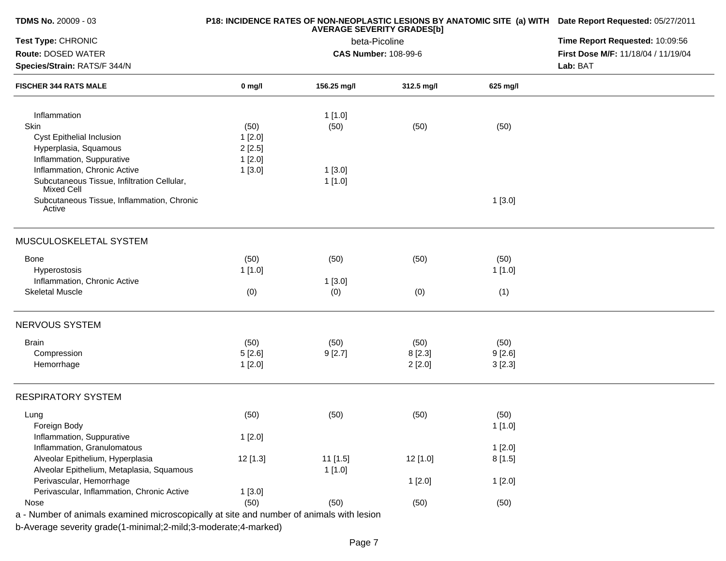| TDMS No. 20009 - 03                                                                      |          | P18: INCIDENCE RATES OF NON-NEOPLASTIC LESIONS BY ANATOMIC SITE (a) WITH Date Report Requested: 05/27/2011 |                                              |          |                                     |
|------------------------------------------------------------------------------------------|----------|------------------------------------------------------------------------------------------------------------|----------------------------------------------|----------|-------------------------------------|
| Test Type: CHRONIC                                                                       |          | Time Report Requested: 10:09:56                                                                            |                                              |          |                                     |
| Route: DOSED WATER                                                                       |          |                                                                                                            | beta-Picoline<br><b>CAS Number: 108-99-6</b> |          | First Dose M/F: 11/18/04 / 11/19/04 |
| Species/Strain: RATS/F 344/N                                                             |          |                                                                                                            |                                              |          | Lab: BAT                            |
| <b>FISCHER 344 RATS MALE</b>                                                             | $0$ mg/l | 156.25 mg/l                                                                                                | 312.5 mg/l                                   | 625 mg/l |                                     |
| Inflammation                                                                             |          | 1[1.0]                                                                                                     |                                              |          |                                     |
| Skin                                                                                     | (50)     | (50)                                                                                                       | (50)                                         | (50)     |                                     |
| Cyst Epithelial Inclusion                                                                | 1[2.0]   |                                                                                                            |                                              |          |                                     |
| Hyperplasia, Squamous                                                                    | 2[2.5]   |                                                                                                            |                                              |          |                                     |
| Inflammation, Suppurative                                                                | 1[2.0]   |                                                                                                            |                                              |          |                                     |
| Inflammation, Chronic Active                                                             | 1[3.0]   | 1[3.0]                                                                                                     |                                              |          |                                     |
| Subcutaneous Tissue, Infiltration Cellular,<br><b>Mixed Cell</b>                         |          | 1[1.0]                                                                                                     |                                              |          |                                     |
| Subcutaneous Tissue, Inflammation, Chronic<br>Active                                     |          |                                                                                                            |                                              | 1[3.0]   |                                     |
| MUSCULOSKELETAL SYSTEM                                                                   |          |                                                                                                            |                                              |          |                                     |
| <b>Bone</b>                                                                              | (50)     | (50)                                                                                                       | (50)                                         | (50)     |                                     |
| Hyperostosis                                                                             | 1[1.0]   |                                                                                                            |                                              | 1[1.0]   |                                     |
| Inflammation, Chronic Active                                                             |          | 1[3.0]                                                                                                     |                                              |          |                                     |
| <b>Skeletal Muscle</b>                                                                   | (0)      | (0)                                                                                                        | (0)                                          | (1)      |                                     |
| NERVOUS SYSTEM                                                                           |          |                                                                                                            |                                              |          |                                     |
| <b>Brain</b>                                                                             | (50)     | (50)                                                                                                       | (50)                                         | (50)     |                                     |
| Compression                                                                              | 5[2.6]   | 9[2.7]                                                                                                     | 8[2.3]                                       | 9[2.6]   |                                     |
| Hemorrhage                                                                               | 1[2.0]   |                                                                                                            | 2[2.0]                                       | 3[2.3]   |                                     |
| <b>RESPIRATORY SYSTEM</b>                                                                |          |                                                                                                            |                                              |          |                                     |
| Lung                                                                                     | (50)     | (50)                                                                                                       | (50)                                         | (50)     |                                     |
| Foreign Body                                                                             |          |                                                                                                            |                                              | 1[1.0]   |                                     |
| Inflammation, Suppurative                                                                | 1[2.0]   |                                                                                                            |                                              |          |                                     |
| Inflammation, Granulomatous                                                              |          |                                                                                                            |                                              | 1[2.0]   |                                     |
| Alveolar Epithelium, Hyperplasia                                                         | 12 [1.3] | 11 [1.5]                                                                                                   | 12 [1.0]                                     | 8[1.5]   |                                     |
| Alveolar Epithelium, Metaplasia, Squamous                                                |          | 1[1.0]                                                                                                     |                                              |          |                                     |
| Perivascular, Hemorrhage                                                                 |          |                                                                                                            | 1[2.0]                                       | 1[2.0]   |                                     |
| Perivascular, Inflammation, Chronic Active                                               | 1[3.0]   |                                                                                                            |                                              |          |                                     |
| Nose                                                                                     | (50)     | (50)                                                                                                       | (50)                                         | (50)     |                                     |
| a - Number of animals examined microscopically at site and number of animals with lesion |          |                                                                                                            |                                              |          |                                     |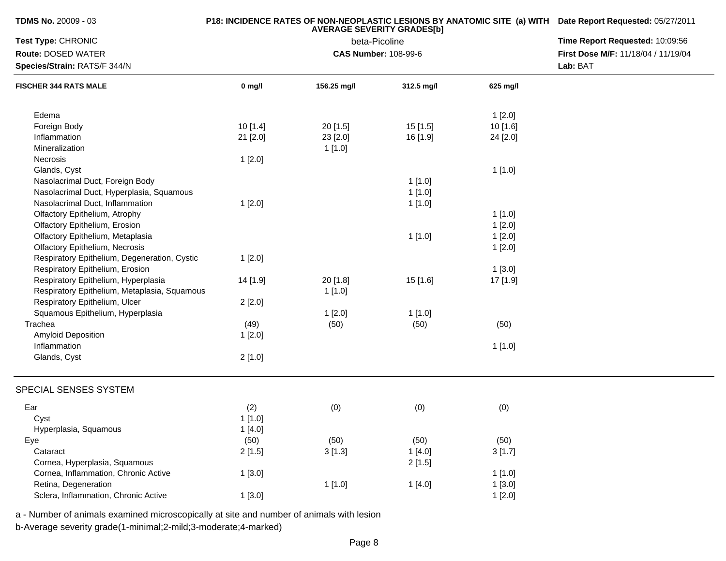| <b>TDMS No. 20009 - 03</b>                   |          | P18: INCIDENCE RATES OF NON-NEOPLASTIC LESIONS BY ANATOMIC SITE (a) WITH Date Report Requested: 05/27/2011 |                                 |          |                                     |
|----------------------------------------------|----------|------------------------------------------------------------------------------------------------------------|---------------------------------|----------|-------------------------------------|
| Test Type: CHRONIC                           |          | <b>AVERAGE SEVERITY GRADES[b]</b><br>beta-Picoline                                                         | Time Report Requested: 10:09:56 |          |                                     |
| <b>Route: DOSED WATER</b>                    |          |                                                                                                            | <b>CAS Number: 108-99-6</b>     |          | First Dose M/F: 11/18/04 / 11/19/04 |
| Species/Strain: RATS/F 344/N                 |          |                                                                                                            | Lab: BAT                        |          |                                     |
| <b>FISCHER 344 RATS MALE</b>                 | $0$ mg/l | 156.25 mg/l                                                                                                | 312.5 mg/l                      | 625 mg/l |                                     |
| Edema                                        |          |                                                                                                            |                                 | 1[2.0]   |                                     |
| Foreign Body                                 | 10[1.4]  | $20$ [1.5]                                                                                                 | 15[1.5]                         | 10 [1.6] |                                     |
| Inflammation                                 | 21 [2.0] | 23 [2.0]                                                                                                   | 16 [1.9]                        | 24 [2.0] |                                     |
| Mineralization                               |          | 1[1.0]                                                                                                     |                                 |          |                                     |
| Necrosis                                     | 1[2.0]   |                                                                                                            |                                 |          |                                     |
| Glands, Cyst                                 |          |                                                                                                            |                                 | 1[1.0]   |                                     |
| Nasolacrimal Duct, Foreign Body              |          |                                                                                                            | 1[1.0]                          |          |                                     |
| Nasolacrimal Duct, Hyperplasia, Squamous     |          |                                                                                                            | 1[1.0]                          |          |                                     |
| Nasolacrimal Duct, Inflammation              | 1[2.0]   |                                                                                                            | 1[1.0]                          |          |                                     |
| Olfactory Epithelium, Atrophy                |          |                                                                                                            |                                 | 1[1.0]   |                                     |
| Olfactory Epithelium, Erosion                |          |                                                                                                            |                                 | 1[2.0]   |                                     |
| Olfactory Epithelium, Metaplasia             |          |                                                                                                            | 1[1.0]                          | 1[2.0]   |                                     |
| <b>Olfactory Epithelium, Necrosis</b>        |          |                                                                                                            |                                 | 1[2.0]   |                                     |
| Respiratory Epithelium, Degeneration, Cystic | 1[2.0]   |                                                                                                            |                                 |          |                                     |
| Respiratory Epithelium, Erosion              |          |                                                                                                            |                                 | 1[3.0]   |                                     |
| Respiratory Epithelium, Hyperplasia          | 14 [1.9] | 20 [1.8]                                                                                                   | 15 [1.6]                        | 17 [1.9] |                                     |
| Respiratory Epithelium, Metaplasia, Squamous |          | 1[1.0]                                                                                                     |                                 |          |                                     |
| Respiratory Epithelium, Ulcer                | 2[2.0]   |                                                                                                            |                                 |          |                                     |
| Squamous Epithelium, Hyperplasia             |          | 1[2.0]                                                                                                     | 1[1.0]                          |          |                                     |
| Trachea                                      | (49)     | (50)                                                                                                       | (50)                            | (50)     |                                     |
| <b>Amyloid Deposition</b>                    | 1[2.0]   |                                                                                                            |                                 |          |                                     |
| Inflammation                                 |          |                                                                                                            |                                 | 1[1.0]   |                                     |
| Glands, Cyst                                 | 2[1.0]   |                                                                                                            |                                 |          |                                     |
| SPECIAL SENSES SYSTEM                        |          |                                                                                                            |                                 |          |                                     |
| Ear                                          | (2)      | (0)                                                                                                        | (0)                             | (0)      |                                     |
| Cyst                                         | 1[1.0]   |                                                                                                            |                                 |          |                                     |
| Hyperplasia, Squamous                        | 1[4.0]   |                                                                                                            |                                 |          |                                     |
| Eye                                          | (50)     | (50)                                                                                                       | (50)                            | (50)     |                                     |
| Cataract                                     | 2[1.5]   | 3[1.3]                                                                                                     | 1[4.0]                          | 3[1.7]   |                                     |
| Cornea, Hyperplasia, Squamous                |          |                                                                                                            | 2[1.5]                          |          |                                     |
| Cornea, Inflammation, Chronic Active         | 1[3.0]   |                                                                                                            |                                 | 1[1.0]   |                                     |
| Retina, Degeneration                         |          | 1[1.0]                                                                                                     | 1[4.0]                          | 1[3.0]   |                                     |
| Sclera, Inflammation, Chronic Active         | 1[3.0]   |                                                                                                            |                                 | 1[2.0]   |                                     |

a - Number of animals examined microscopically at site and number of animals with lesion

b-Average severity grade(1-minimal;2-mild;3-moderate;4-marked)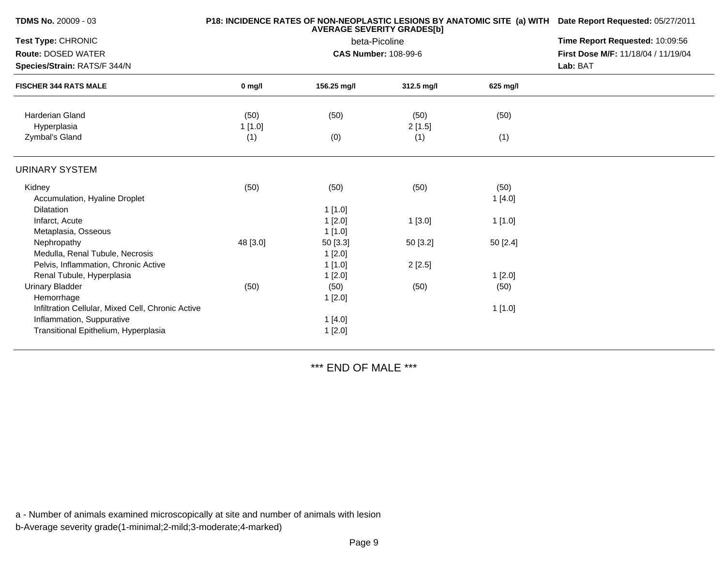| <b>TDMS No. 20009 - 03</b>                        |          | P18: INCIDENCE RATES OF NON-NEOPLASTIC LESIONS BY ANATOMIC SITE (a) WITH Date Report Requested: 05/27/2011 |                                 |          |                                     |
|---------------------------------------------------|----------|------------------------------------------------------------------------------------------------------------|---------------------------------|----------|-------------------------------------|
| Test Type: CHRONIC                                |          | beta-Picoline                                                                                              | Time Report Requested: 10:09:56 |          |                                     |
| <b>Route: DOSED WATER</b>                         |          |                                                                                                            | <b>CAS Number: 108-99-6</b>     |          | First Dose M/F: 11/18/04 / 11/19/04 |
| Species/Strain: RATS/F 344/N                      |          |                                                                                                            |                                 |          | Lab: BAT                            |
| <b>FISCHER 344 RATS MALE</b>                      | $0$ mg/l | 156.25 mg/l                                                                                                | 312.5 mg/l                      | 625 mg/l |                                     |
| <b>Harderian Gland</b>                            | (50)     | (50)                                                                                                       | (50)                            | (50)     |                                     |
| Hyperplasia                                       | 1[1.0]   |                                                                                                            | 2[1.5]                          |          |                                     |
| Zymbal's Gland                                    | (1)      | (0)                                                                                                        | (1)                             | (1)      |                                     |
| <b>URINARY SYSTEM</b>                             |          |                                                                                                            |                                 |          |                                     |
| Kidney                                            | (50)     | (50)                                                                                                       | (50)                            | (50)     |                                     |
| Accumulation, Hyaline Droplet                     |          |                                                                                                            |                                 | 1[4.0]   |                                     |
| <b>Dilatation</b>                                 |          | 1[1.0]                                                                                                     |                                 |          |                                     |
| Infarct, Acute                                    |          | 1[2.0]                                                                                                     | 1[3.0]                          | 1[1.0]   |                                     |
| Metaplasia, Osseous                               |          | 1[1.0]                                                                                                     |                                 |          |                                     |
| Nephropathy                                       | 48 [3.0] | 50 [3.3]                                                                                                   | 50 [3.2]                        | 50 [2.4] |                                     |
| Medulla, Renal Tubule, Necrosis                   |          | 1[2.0]                                                                                                     |                                 |          |                                     |
| Pelvis, Inflammation, Chronic Active              |          | 1[1.0]                                                                                                     | 2[2.5]                          |          |                                     |
| Renal Tubule, Hyperplasia                         |          | 1[2.0]                                                                                                     |                                 | 1[2.0]   |                                     |
| <b>Urinary Bladder</b>                            | (50)     | (50)                                                                                                       | (50)                            | (50)     |                                     |
| Hemorrhage                                        |          | 1[2.0]                                                                                                     |                                 |          |                                     |
| Infiltration Cellular, Mixed Cell, Chronic Active |          |                                                                                                            |                                 | 1[1.0]   |                                     |
| Inflammation, Suppurative                         |          | 1[4.0]                                                                                                     |                                 |          |                                     |
| Transitional Epithelium, Hyperplasia              |          | 1[2.0]                                                                                                     |                                 |          |                                     |
|                                                   |          |                                                                                                            |                                 |          |                                     |

\*\*\* END OF MALE \*\*\*

a - Number of animals examined microscopically at site and number of animals with lesion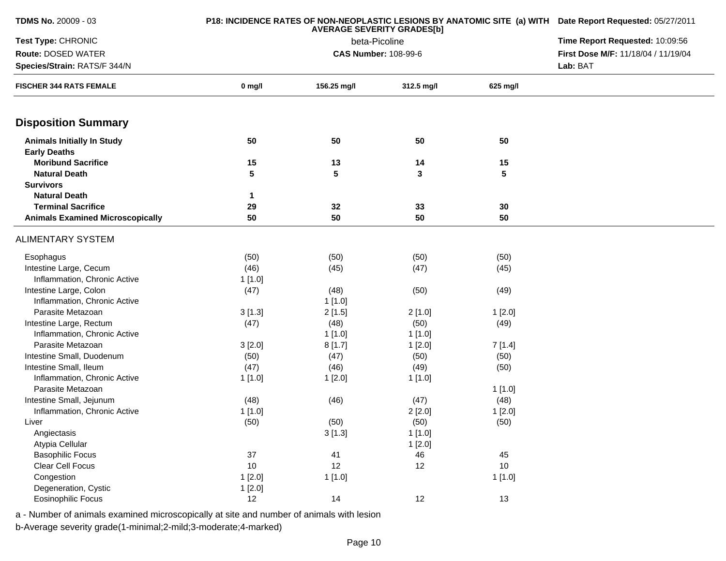| <b>TDMS No. 20009 - 03</b>              |          | P18: INCIDENCE RATES OF NON-NEOPLASTIC LESIONS BY ANATOMIC SITE (a) WITH Date Report Requested: 05/27/2011 |                                                    |          |                                     |  |
|-----------------------------------------|----------|------------------------------------------------------------------------------------------------------------|----------------------------------------------------|----------|-------------------------------------|--|
| Test Type: CHRONIC                      |          |                                                                                                            | <b>AVERAGE SEVERITY GRADES[b]</b><br>beta-Picoline |          | Time Report Requested: 10:09:56     |  |
| Route: DOSED WATER                      |          | <b>CAS Number: 108-99-6</b>                                                                                |                                                    |          | First Dose M/F: 11/18/04 / 11/19/04 |  |
| Species/Strain: RATS/F 344/N            |          |                                                                                                            |                                                    |          |                                     |  |
| <b>FISCHER 344 RATS FEMALE</b>          | $0$ mg/l | 156.25 mg/l                                                                                                | 312.5 mg/l                                         | 625 mg/l |                                     |  |
| <b>Disposition Summary</b>              |          |                                                                                                            |                                                    |          |                                     |  |
| <b>Animals Initially In Study</b>       | 50       | 50                                                                                                         | 50                                                 | 50       |                                     |  |
| <b>Early Deaths</b>                     |          |                                                                                                            |                                                    |          |                                     |  |
| <b>Moribund Sacrifice</b>               | 15       | 13                                                                                                         | 14                                                 | 15       |                                     |  |
| <b>Natural Death</b>                    | 5        | 5                                                                                                          | 3                                                  | 5        |                                     |  |
| <b>Survivors</b>                        |          |                                                                                                            |                                                    |          |                                     |  |
| <b>Natural Death</b>                    | 1        |                                                                                                            |                                                    |          |                                     |  |
| <b>Terminal Sacrifice</b>               | 29       | 32                                                                                                         | 33                                                 | 30       |                                     |  |
| <b>Animals Examined Microscopically</b> | 50       | 50                                                                                                         | 50                                                 | 50       |                                     |  |
| <b>ALIMENTARY SYSTEM</b>                |          |                                                                                                            |                                                    |          |                                     |  |
| Esophagus                               | (50)     | (50)                                                                                                       | (50)                                               | (50)     |                                     |  |
| Intestine Large, Cecum                  | (46)     | (45)                                                                                                       | (47)                                               | (45)     |                                     |  |
| Inflammation, Chronic Active            | 1[1.0]   |                                                                                                            |                                                    |          |                                     |  |
| Intestine Large, Colon                  | (47)     | (48)                                                                                                       | (50)                                               | (49)     |                                     |  |
| Inflammation, Chronic Active            |          | 1[1.0]                                                                                                     |                                                    |          |                                     |  |
| Parasite Metazoan                       | 3[1.3]   | 2[1.5]                                                                                                     | 2[1.0]                                             | 1[2.0]   |                                     |  |
| Intestine Large, Rectum                 | (47)     | (48)                                                                                                       | (50)                                               | (49)     |                                     |  |
| Inflammation, Chronic Active            |          | 1[1.0]                                                                                                     | 1[1.0]                                             |          |                                     |  |
| Parasite Metazoan                       | 3[2.0]   | 8[1.7]                                                                                                     | 1[2.0]                                             | 7[1.4]   |                                     |  |
| Intestine Small, Duodenum               | (50)     | (47)                                                                                                       | (50)                                               | (50)     |                                     |  |
| Intestine Small, Ileum                  | (47)     | (46)                                                                                                       | (49)                                               | (50)     |                                     |  |
| Inflammation, Chronic Active            | 1 [1.0]  | 1[2.0]                                                                                                     | 1[1.0]                                             |          |                                     |  |
| Parasite Metazoan                       |          |                                                                                                            |                                                    | 1[1.0]   |                                     |  |
| Intestine Small, Jejunum                | (48)     | (46)                                                                                                       | (47)                                               | (48)     |                                     |  |
| Inflammation, Chronic Active            | 1[1.0]   |                                                                                                            | 2[2.0]                                             | 1[2.0]   |                                     |  |
| Liver                                   | (50)     | (50)                                                                                                       | (50)                                               | (50)     |                                     |  |
| Angiectasis                             |          | 3[1.3]                                                                                                     | 1[1.0]                                             |          |                                     |  |
| Atypia Cellular                         |          |                                                                                                            | 1[2.0]                                             |          |                                     |  |
| <b>Basophilic Focus</b>                 | 37       | 41                                                                                                         | 46                                                 | 45       |                                     |  |
| Clear Cell Focus                        | 10       | 12                                                                                                         | 12                                                 | 10       |                                     |  |
| Congestion                              | 1[2.0]   | 1[1.0]                                                                                                     |                                                    | 1[1.0]   |                                     |  |
| Degeneration, Cystic                    | 1[2.0]   |                                                                                                            |                                                    |          |                                     |  |
| Eosinophilic Focus                      | 12       | 14                                                                                                         | 12                                                 | 13       |                                     |  |

b-Average severity grade(1-minimal;2-mild;3-moderate;4-marked)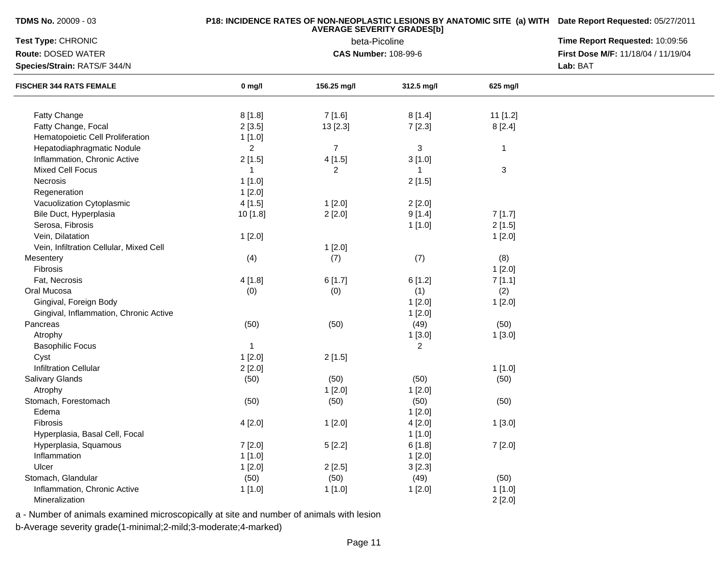| <b>TDMS No. 20009 - 03</b> |
|----------------------------|
|----------------------------|

## **P18: INCIDENCE RATES OF NON-NEOPLASTIC LESIONS BY ANATOMIC SITE (a) WITH AVERAGE SEVERITY GRADES[b] Date Report Requested:** 05/27/2011

| Test Type: CHRONIC                      |                | beta-Picoline               | Time Report Requested: 10:09:56 |              |                                                 |
|-----------------------------------------|----------------|-----------------------------|---------------------------------|--------------|-------------------------------------------------|
| Route: DOSED WATER                      |                | <b>CAS Number: 108-99-6</b> |                                 |              | First Dose M/F: 11/18/04 / 11/19/04<br>Lab: BAT |
| Species/Strain: RATS/F 344/N            |                |                             |                                 |              |                                                 |
| <b>FISCHER 344 RATS FEMALE</b>          | $0$ mg/l       | 156.25 mg/l                 | 312.5 mg/l                      | 625 mg/l     |                                                 |
| Fatty Change                            | 8[1.8]         | 7[1.6]                      | 8[1.4]                          | 11 [1.2]     |                                                 |
| Fatty Change, Focal                     | 2[3.5]         | 13 [2.3]                    | 7[2.3]                          | 8[2.4]       |                                                 |
| Hematopoietic Cell Proliferation        | 1[1.0]         |                             |                                 |              |                                                 |
| Hepatodiaphragmatic Nodule              | $\overline{2}$ | $\overline{7}$              | $\mathbf{3}$                    | $\mathbf{1}$ |                                                 |
| Inflammation, Chronic Active            | 2[1.5]         | 4[1.5]                      | 3[1.0]                          |              |                                                 |
| <b>Mixed Cell Focus</b>                 | $\mathbf{1}$   | $\overline{2}$              | $\mathbf{1}$                    | 3            |                                                 |
| Necrosis                                | 1[1.0]         |                             | 2[1.5]                          |              |                                                 |
| Regeneration                            | 1[2.0]         |                             |                                 |              |                                                 |
| Vacuolization Cytoplasmic               | 4[1.5]         | 1[2.0]                      | 2[2.0]                          |              |                                                 |
| Bile Duct, Hyperplasia                  | 10 [1.8]       | 2[2.0]                      | 9[1.4]                          | 7[1.7]       |                                                 |
| Serosa, Fibrosis                        |                |                             | 1[1.0]                          | 2[1.5]       |                                                 |
| Vein, Dilatation                        | 1[2.0]         |                             |                                 | 1[2.0]       |                                                 |
| Vein, Infiltration Cellular, Mixed Cell |                | 1[2.0]                      |                                 |              |                                                 |
|                                         |                |                             |                                 |              |                                                 |
| Mesentery<br>Fibrosis                   | (4)            | (7)                         | (7)                             | (8)          |                                                 |
| Fat, Necrosis                           |                |                             |                                 | 1[2.0]       |                                                 |
|                                         | 4[1.8]         | 6[1.7]                      | 6[1.2]                          | 7[1.1]       |                                                 |
| Oral Mucosa                             | (0)            | (0)                         | (1)                             | (2)          |                                                 |
| Gingival, Foreign Body                  |                |                             | 1[2.0]                          | 1[2.0]       |                                                 |
| Gingival, Inflammation, Chronic Active  |                |                             | 1[2.0]                          |              |                                                 |
| Pancreas                                | (50)           | (50)                        | (49)                            | (50)         |                                                 |
| Atrophy                                 |                |                             | 1[3.0]                          | 1[3.0]       |                                                 |
| <b>Basophilic Focus</b>                 | $\mathbf{1}$   |                             | $\overline{a}$                  |              |                                                 |
| Cyst                                    | 1[2.0]         | 2[1.5]                      |                                 |              |                                                 |
| <b>Infiltration Cellular</b>            | 2[2.0]         |                             |                                 | 1[1.0]       |                                                 |
| Salivary Glands                         | (50)           | (50)                        | (50)                            | (50)         |                                                 |
| Atrophy                                 |                | 1[2.0]                      | 1[2.0]                          |              |                                                 |
| Stomach, Forestomach                    | (50)           | (50)                        | (50)                            | (50)         |                                                 |
| Edema                                   |                |                             | 1[2.0]                          |              |                                                 |
| Fibrosis                                | 4[2.0]         | 1[2.0]                      | 4[2.0]                          | 1[3.0]       |                                                 |
| Hyperplasia, Basal Cell, Focal          |                |                             | 1[1.0]                          |              |                                                 |
| Hyperplasia, Squamous                   | 7[2.0]         | 5[2.2]                      | 6[1.8]                          | 7[2.0]       |                                                 |
| Inflammation                            | 1[1.0]         |                             | 1[2.0]                          |              |                                                 |
| Ulcer                                   | 1[2.0]         | 2[2.5]                      | 3[2.3]                          |              |                                                 |
| Stomach, Glandular                      | (50)           | (50)                        | (49)                            | (50)         |                                                 |
| Inflammation, Chronic Active            | 1[1.0]         | 1[1.0]                      | 1[2.0]                          | 1[1.0]       |                                                 |
| Mineralization                          |                |                             |                                 | 2[2.0]       |                                                 |

a - Number of animals examined microscopically at site and number of animals with lesion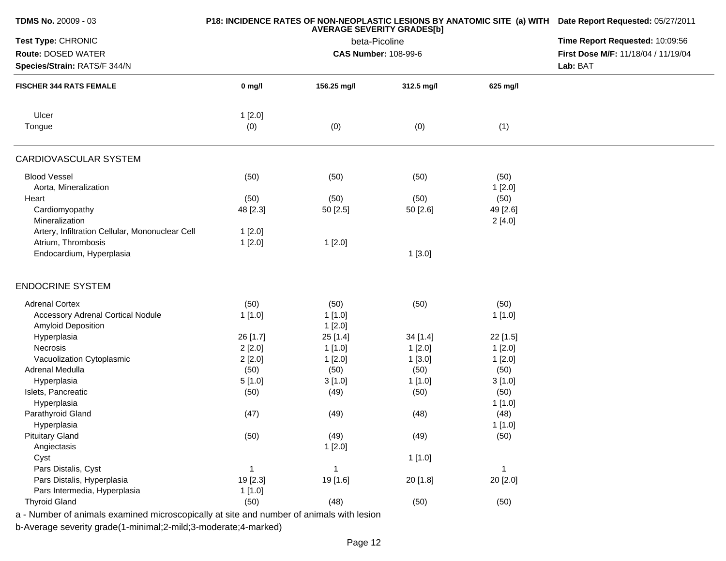| TDMS No. 20009 - 03                                                                      |          | P18: INCIDENCE RATES OF NON-NEOPLASTIC LESIONS BY ANATOMIC SITE (a) WITH Date Report Requested: 05/27/2011<br>Time Report Requested: 10:09:56 |            |          |                                     |
|------------------------------------------------------------------------------------------|----------|-----------------------------------------------------------------------------------------------------------------------------------------------|------------|----------|-------------------------------------|
| Test Type: CHRONIC                                                                       |          |                                                                                                                                               |            |          |                                     |
| Route: DOSED WATER                                                                       |          | beta-Picoline<br><b>CAS Number: 108-99-6</b>                                                                                                  |            |          | First Dose M/F: 11/18/04 / 11/19/04 |
| Species/Strain: RATS/F 344/N                                                             |          | Lab: BAT                                                                                                                                      |            |          |                                     |
| <b>FISCHER 344 RATS FEMALE</b>                                                           | $0$ mg/l | 156.25 mg/l                                                                                                                                   | 312.5 mg/l | 625 mg/l |                                     |
| Ulcer                                                                                    | 1[2.0]   |                                                                                                                                               |            |          |                                     |
| Tongue                                                                                   | (0)      | (0)                                                                                                                                           | (0)        | (1)      |                                     |
| CARDIOVASCULAR SYSTEM                                                                    |          |                                                                                                                                               |            |          |                                     |
| <b>Blood Vessel</b>                                                                      | (50)     | (50)                                                                                                                                          | (50)       | (50)     |                                     |
| Aorta, Mineralization                                                                    |          |                                                                                                                                               |            | 1[2.0]   |                                     |
| Heart                                                                                    | (50)     | (50)                                                                                                                                          | (50)       | (50)     |                                     |
| Cardiomyopathy                                                                           | 48 [2.3] | 50 [2.5]                                                                                                                                      | 50 [2.6]   | 49 [2.6] |                                     |
| Mineralization                                                                           |          |                                                                                                                                               |            | 2[4.0]   |                                     |
| Artery, Infiltration Cellular, Mononuclear Cell                                          | 1[2.0]   |                                                                                                                                               |            |          |                                     |
| Atrium, Thrombosis                                                                       | 1[2.0]   | 1[2.0]                                                                                                                                        |            |          |                                     |
| Endocardium, Hyperplasia                                                                 |          |                                                                                                                                               | 1[3.0]     |          |                                     |
| <b>ENDOCRINE SYSTEM</b>                                                                  |          |                                                                                                                                               |            |          |                                     |
| <b>Adrenal Cortex</b>                                                                    | (50)     | (50)                                                                                                                                          | (50)       | (50)     |                                     |
| <b>Accessory Adrenal Cortical Nodule</b>                                                 | 1[1.0]   | 1 [1.0]                                                                                                                                       |            | 1[1.0]   |                                     |
| Amyloid Deposition                                                                       |          | 1[2.0]                                                                                                                                        |            |          |                                     |
| Hyperplasia                                                                              | 26 [1.7] | 25 [1.4]                                                                                                                                      | 34 [1.4]   | 22 [1.5] |                                     |
| Necrosis                                                                                 | 2[2.0]   | 1 [1.0]                                                                                                                                       | 1[2.0]     | 1[2.0]   |                                     |
| Vacuolization Cytoplasmic                                                                | 2[2.0]   | 1[2.0]                                                                                                                                        | 1[3.0]     | 1[2.0]   |                                     |
| Adrenal Medulla                                                                          | (50)     | (50)                                                                                                                                          | (50)       | (50)     |                                     |
| Hyperplasia                                                                              | 5[1.0]   | 3[1.0]                                                                                                                                        | 1[1.0]     | 3[1.0]   |                                     |
| Islets, Pancreatic                                                                       | (50)     | (49)                                                                                                                                          | (50)       | (50)     |                                     |
| Hyperplasia                                                                              |          |                                                                                                                                               |            | 1[1.0]   |                                     |
| Parathyroid Gland                                                                        | (47)     | (49)                                                                                                                                          | (48)       | (48)     |                                     |
| Hyperplasia                                                                              |          |                                                                                                                                               |            | 1 [1.0]  |                                     |
| <b>Pituitary Gland</b>                                                                   | (50)     | (49)                                                                                                                                          | (49)       | (50)     |                                     |
| Angiectasis                                                                              |          | 1[2.0]                                                                                                                                        |            |          |                                     |
| Cyst                                                                                     |          |                                                                                                                                               | 1[1.0]     |          |                                     |
| Pars Distalis, Cyst                                                                      | -1       | $\mathbf{1}$                                                                                                                                  |            | -1       |                                     |
| Pars Distalis, Hyperplasia                                                               | 19 [2.3] | 19 [1.6]                                                                                                                                      | 20 [1.8]   | 20 [2.0] |                                     |
| Pars Intermedia, Hyperplasia                                                             | 1[1.0]   |                                                                                                                                               |            |          |                                     |
| <b>Thyroid Gland</b>                                                                     | (50)     | (48)                                                                                                                                          | (50)       | (50)     |                                     |
| a - Number of animals examined microscopically at site and number of animals with lesion |          |                                                                                                                                               |            |          |                                     |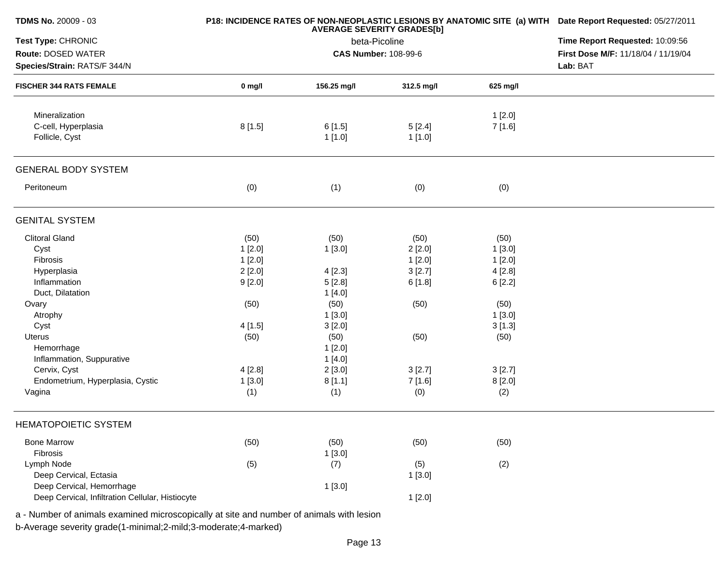| TDMS No. 20009 - 03                                |          | P18: INCIDENCE RATES OF NON-NEOPLASTIC LESIONS BY ANATOMIC SITE (a) WITH Date Report Requested: 05/27/2011<br>Time Report Requested: 10:09:56<br>First Dose M/F: 11/18/04 / 11/19/04<br>Lab: BAT |            |          |  |
|----------------------------------------------------|----------|--------------------------------------------------------------------------------------------------------------------------------------------------------------------------------------------------|------------|----------|--|
| Test Type: CHRONIC                                 |          |                                                                                                                                                                                                  |            |          |  |
| Route: DOSED WATER<br>Species/Strain: RATS/F 344/N |          |                                                                                                                                                                                                  |            |          |  |
|                                                    |          |                                                                                                                                                                                                  |            |          |  |
| <b>FISCHER 344 RATS FEMALE</b>                     | $0$ mg/l | 156.25 mg/l                                                                                                                                                                                      | 312.5 mg/l | 625 mg/l |  |
| Mineralization                                     |          |                                                                                                                                                                                                  |            | 1[2.0]   |  |
| C-cell, Hyperplasia                                | 8[1.5]   | 6[1.5]                                                                                                                                                                                           | 5[2.4]     | 7 [1.6]  |  |
| Follicle, Cyst                                     |          | 1[1.0]                                                                                                                                                                                           | 1[1.0]     |          |  |
| <b>GENERAL BODY SYSTEM</b>                         |          |                                                                                                                                                                                                  |            |          |  |
| Peritoneum                                         | (0)      | (1)                                                                                                                                                                                              | (0)        | (0)      |  |
| <b>GENITAL SYSTEM</b>                              |          |                                                                                                                                                                                                  |            |          |  |
| <b>Clitoral Gland</b>                              | (50)     | (50)                                                                                                                                                                                             | (50)       | (50)     |  |
| Cyst                                               | 1[2.0]   | 1[3.0]                                                                                                                                                                                           | 2[2.0]     | 1[3.0]   |  |
| Fibrosis                                           | 1[2.0]   |                                                                                                                                                                                                  | 1[2.0]     | 1[2.0]   |  |
| Hyperplasia                                        | 2[2.0]   | 4[2.3]                                                                                                                                                                                           | 3[2.7]     | 4[2.8]   |  |
| Inflammation                                       | 9[2.0]   | 5[2.8]                                                                                                                                                                                           | 6[1.8]     | 6[2.2]   |  |
| Duct, Dilatation                                   |          | 1[4.0]                                                                                                                                                                                           |            |          |  |
| Ovary                                              | (50)     | (50)                                                                                                                                                                                             | (50)       | (50)     |  |
| Atrophy                                            |          | 1[3.0]                                                                                                                                                                                           |            | 1[3.0]   |  |
| Cyst                                               | 4[1.5]   | 3[2.0]                                                                                                                                                                                           |            | 3[1.3]   |  |
| Uterus                                             | (50)     | (50)                                                                                                                                                                                             | (50)       | (50)     |  |
| Hemorrhage                                         |          | 1[2.0]                                                                                                                                                                                           |            |          |  |
| Inflammation, Suppurative                          |          | 1[4.0]                                                                                                                                                                                           |            |          |  |
| Cervix, Cyst                                       | 4[2.8]   | 2[3.0]                                                                                                                                                                                           | 3[2.7]     | 3[2.7]   |  |
| Endometrium, Hyperplasia, Cystic                   | 1[3.0]   | 8[1.1]                                                                                                                                                                                           | 7[1.6]     | 8[2.0]   |  |
| Vagina                                             | (1)      | (1)                                                                                                                                                                                              | (0)        | (2)      |  |
| <b>HEMATOPOIETIC SYSTEM</b>                        |          |                                                                                                                                                                                                  |            |          |  |
| <b>Bone Marrow</b>                                 | (50)     | (50)                                                                                                                                                                                             | (50)       | (50)     |  |
| Fibrosis                                           |          | 1[3.0]                                                                                                                                                                                           |            |          |  |
| Lymph Node                                         | (5)      | (7)                                                                                                                                                                                              | (5)        | (2)      |  |
| Deep Cervical, Ectasia                             |          |                                                                                                                                                                                                  | 1[3.0]     |          |  |
| Deep Cervical, Hemorrhage                          |          | 1[3.0]                                                                                                                                                                                           |            |          |  |
| Deep Cervical, Infiltration Cellular, Histiocyte   |          |                                                                                                                                                                                                  | 1[2.0]     |          |  |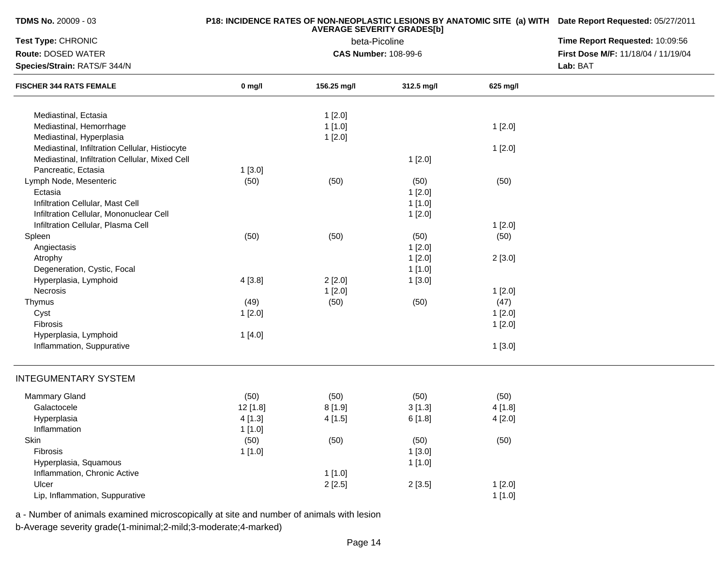| <b>TDMS No. 20009 - 03</b>                     |            | P18: INCIDENCE RATES OF NON-NEOPLASTIC LESIONS BY ANATOMIC SITE (a) WITH Date Report Requested: 05/27/2011<br>Time Report Requested: 10:09:56 |                                              |          |                                     |
|------------------------------------------------|------------|-----------------------------------------------------------------------------------------------------------------------------------------------|----------------------------------------------|----------|-------------------------------------|
| Test Type: CHRONIC                             |            |                                                                                                                                               |                                              |          |                                     |
| <b>Route: DOSED WATER</b>                      |            |                                                                                                                                               | beta-Picoline<br><b>CAS Number: 108-99-6</b> |          | First Dose M/F: 11/18/04 / 11/19/04 |
| Species/Strain: RATS/F 344/N                   |            |                                                                                                                                               |                                              |          | Lab: BAT                            |
| <b>FISCHER 344 RATS FEMALE</b>                 | $0$ mg/l   | 156.25 mg/l                                                                                                                                   | 312.5 mg/l                                   | 625 mg/l |                                     |
| Mediastinal, Ectasia                           |            | 1[2.0]                                                                                                                                        |                                              |          |                                     |
| Mediastinal, Hemorrhage                        |            | 1[1.0]                                                                                                                                        |                                              | 1[2.0]   |                                     |
| Mediastinal, Hyperplasia                       |            | 1[2.0]                                                                                                                                        |                                              |          |                                     |
| Mediastinal, Infiltration Cellular, Histiocyte |            |                                                                                                                                               |                                              | 1[2.0]   |                                     |
| Mediastinal, Infiltration Cellular, Mixed Cell |            |                                                                                                                                               | 1[2.0]                                       |          |                                     |
| Pancreatic, Ectasia                            | 1[3.0]     |                                                                                                                                               |                                              |          |                                     |
| Lymph Node, Mesenteric                         | (50)       | (50)                                                                                                                                          | (50)                                         | (50)     |                                     |
| Ectasia                                        |            |                                                                                                                                               | 1[2.0]                                       |          |                                     |
| Infiltration Cellular, Mast Cell               |            |                                                                                                                                               | 1[1.0]                                       |          |                                     |
| Infiltration Cellular, Mononuclear Cell        |            |                                                                                                                                               | 1[2.0]                                       |          |                                     |
| Infiltration Cellular, Plasma Cell             |            |                                                                                                                                               |                                              | 1[2.0]   |                                     |
| Spleen                                         | (50)       | (50)                                                                                                                                          | (50)                                         | (50)     |                                     |
| Angiectasis                                    |            |                                                                                                                                               | 1[2.0]                                       |          |                                     |
| Atrophy                                        |            |                                                                                                                                               | 1[2.0]                                       | 2[3.0]   |                                     |
| Degeneration, Cystic, Focal                    |            |                                                                                                                                               | 1[1.0]                                       |          |                                     |
| Hyperplasia, Lymphoid                          | 4[3.8]     | 2[2.0]                                                                                                                                        | 1[3.0]                                       |          |                                     |
| Necrosis                                       |            | 1[2.0]                                                                                                                                        |                                              | 1[2.0]   |                                     |
| Thymus                                         | (49)       | (50)                                                                                                                                          | (50)                                         | (47)     |                                     |
| Cyst                                           | 1[2.0]     |                                                                                                                                               |                                              | 1[2.0]   |                                     |
| Fibrosis                                       |            |                                                                                                                                               |                                              | 1[2.0]   |                                     |
| Hyperplasia, Lymphoid                          | 1[4.0]     |                                                                                                                                               |                                              |          |                                     |
| Inflammation, Suppurative                      |            |                                                                                                                                               |                                              | 1[3.0]   |                                     |
| <b>INTEGUMENTARY SYSTEM</b>                    |            |                                                                                                                                               |                                              |          |                                     |
| Mammary Gland                                  | (50)       | (50)                                                                                                                                          | (50)                                         | (50)     |                                     |
| Galactocele                                    | $12$ [1.8] | 8[1.9]                                                                                                                                        | 3[1.3]                                       | 4 [1.8]  |                                     |
| Hyperplasia                                    | 4 [1.3]    | 4[1.5]                                                                                                                                        | 6[1.8]                                       | 4[2.0]   |                                     |
| Inflammation                                   | 1[1.0]     |                                                                                                                                               |                                              |          |                                     |
| Skin                                           | (50)       | (50)                                                                                                                                          | (50)                                         | (50)     |                                     |
| Fibrosis                                       | 1[1.0]     |                                                                                                                                               | 1[3.0]                                       |          |                                     |
| Hyperplasia, Squamous                          |            |                                                                                                                                               | 1[1.0]                                       |          |                                     |
| Inflammation, Chronic Active                   |            | 1[1.0]                                                                                                                                        |                                              |          |                                     |
| Ulcer                                          |            | 2[2.5]                                                                                                                                        | 2[3.5]                                       | 1[2.0]   |                                     |
| Lip, Inflammation, Suppurative                 |            |                                                                                                                                               |                                              | 1[1.0]   |                                     |

b-Average severity grade(1-minimal;2-mild;3-moderate;4-marked)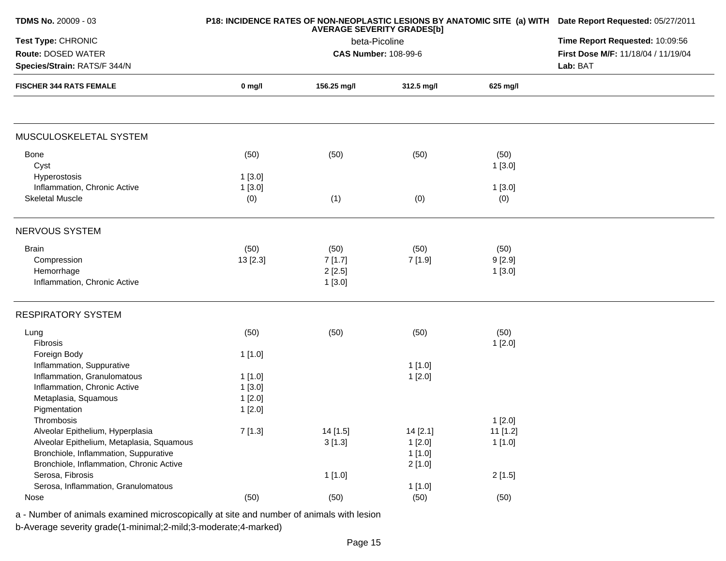| <b>TDMS No. 20009 - 03</b>                                                           |          | P18: INCIDENCE RATES OF NON-NEOPLASTIC LESIONS BY ANATOMIC SITE (a) WITH Date Report Requested: 05/27/2011<br>Time Report Requested: 10:09:56 |                                                 |          |  |
|--------------------------------------------------------------------------------------|----------|-----------------------------------------------------------------------------------------------------------------------------------------------|-------------------------------------------------|----------|--|
| Test Type: CHRONIC                                                                   |          |                                                                                                                                               |                                                 |          |  |
| Route: DOSED WATER<br>Species/Strain: RATS/F 344/N<br><b>FISCHER 344 RATS FEMALE</b> |          | <b>CAS Number: 108-99-6</b>                                                                                                                   | First Dose M/F: 11/18/04 / 11/19/04<br>Lab: BAT |          |  |
|                                                                                      | $0$ mg/l | 156.25 mg/l                                                                                                                                   | 312.5 mg/l                                      | 625 mg/l |  |
|                                                                                      |          |                                                                                                                                               |                                                 |          |  |
| MUSCULOSKELETAL SYSTEM                                                               |          |                                                                                                                                               |                                                 |          |  |
| Bone                                                                                 | (50)     | (50)                                                                                                                                          | (50)                                            | (50)     |  |
| Cyst                                                                                 |          |                                                                                                                                               |                                                 | 1[3.0]   |  |
| Hyperostosis                                                                         | 1[3.0]   |                                                                                                                                               |                                                 |          |  |
| Inflammation, Chronic Active<br><b>Skeletal Muscle</b>                               | 1[3.0]   | (1)                                                                                                                                           | (0)                                             | 1[3.0]   |  |
|                                                                                      | (0)      |                                                                                                                                               |                                                 | (0)      |  |
| NERVOUS SYSTEM                                                                       |          |                                                                                                                                               |                                                 |          |  |
| <b>Brain</b>                                                                         | (50)     | (50)                                                                                                                                          | (50)                                            | (50)     |  |
| Compression                                                                          | 13 [2.3] | 7[1.7]                                                                                                                                        | 7 [1.9]                                         | 9[2.9]   |  |
| Hemorrhage                                                                           |          | 2[2.5]                                                                                                                                        |                                                 | 1[3.0]   |  |
| Inflammation, Chronic Active                                                         |          | 1[3.0]                                                                                                                                        |                                                 |          |  |
| <b>RESPIRATORY SYSTEM</b>                                                            |          |                                                                                                                                               |                                                 |          |  |
| Lung                                                                                 | (50)     | (50)                                                                                                                                          | (50)                                            | (50)     |  |
| Fibrosis                                                                             |          |                                                                                                                                               |                                                 | 1[2.0]   |  |
| Foreign Body                                                                         | 1[1.0]   |                                                                                                                                               |                                                 |          |  |
| Inflammation, Suppurative                                                            |          |                                                                                                                                               | 1[1.0]                                          |          |  |
| Inflammation, Granulomatous                                                          | 1[1.0]   |                                                                                                                                               | 1[2.0]                                          |          |  |
| Inflammation, Chronic Active                                                         | 1[3.0]   |                                                                                                                                               |                                                 |          |  |
| Metaplasia, Squamous                                                                 | 1[2.0]   |                                                                                                                                               |                                                 |          |  |
| Pigmentation                                                                         | 1[2.0]   |                                                                                                                                               |                                                 |          |  |
| Thrombosis<br>Alveolar Epithelium, Hyperplasia                                       |          |                                                                                                                                               |                                                 | 1[2.0]   |  |
| Alveolar Epithelium, Metaplasia, Squamous                                            | 7[1.3]   | 14 [1.5]                                                                                                                                      | 14 [2.1]                                        | 11 [1.2] |  |
| Bronchiole, Inflammation, Suppurative                                                |          | 3[1.3]                                                                                                                                        | 1[2.0]<br>1[1.0]                                | 1[1.0]   |  |
| Bronchiole, Inflammation, Chronic Active                                             |          |                                                                                                                                               | 2[1.0]                                          |          |  |
| Serosa, Fibrosis                                                                     |          | 1[1.0]                                                                                                                                        |                                                 | 2[1.5]   |  |
| Serosa, Inflammation, Granulomatous                                                  |          |                                                                                                                                               | 1[1.0]                                          |          |  |
| Nose                                                                                 | (50)     | (50)                                                                                                                                          | (50)                                            | (50)     |  |
|                                                                                      |          |                                                                                                                                               |                                                 |          |  |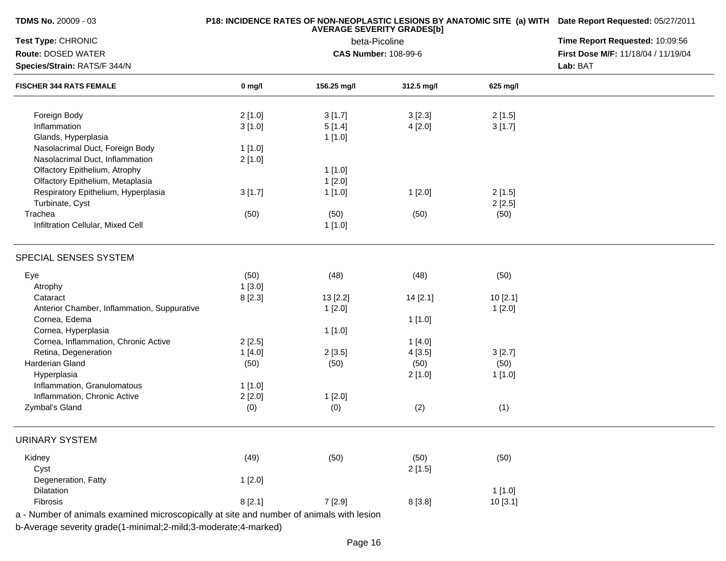| <b>TDMS No.</b> 20009 - 03 |  |
|----------------------------|--|
|----------------------------|--|

## **P18: INCIDENCE RATES OF NON-NEOPLASTIC LESIONS BY ANATOMIC SITE (a) WITH AVERAGE SEVERITY GRADES[b] Date Report Requested:** 05/27/2011

| Test Type: CHRONIC                                                                       |          | beta-Picoline               | Time Report Requested: 10:09:56<br>First Dose M/F: 11/18/04 / 11/19/04 |          |          |
|------------------------------------------------------------------------------------------|----------|-----------------------------|------------------------------------------------------------------------|----------|----------|
| Route: DOSED WATER                                                                       |          | <b>CAS Number: 108-99-6</b> |                                                                        |          |          |
| Species/Strain: RATS/F 344/N                                                             |          |                             |                                                                        |          | Lab: BAT |
| <b>FISCHER 344 RATS FEMALE</b>                                                           | $0$ mg/l | 156.25 mg/l                 | 312.5 mg/l                                                             | 625 mg/l |          |
| Foreign Body                                                                             | 2[1.0]   | 3[1.7]                      | 3[2.3]                                                                 | 2[1.5]   |          |
| Inflammation                                                                             | 3[1.0]   | 5[1.4]                      | 4[2.0]                                                                 | 3[1.7]   |          |
| Glands, Hyperplasia                                                                      |          | 1[1.0]                      |                                                                        |          |          |
| Nasolacrimal Duct, Foreign Body                                                          | 1[1.0]   |                             |                                                                        |          |          |
| Nasolacrimal Duct, Inflammation                                                          | 2[1.0]   |                             |                                                                        |          |          |
| Olfactory Epithelium, Atrophy                                                            |          | 1[1.0]                      |                                                                        |          |          |
| Olfactory Epithelium, Metaplasia                                                         |          | 1[2.0]                      |                                                                        |          |          |
| Respiratory Epithelium, Hyperplasia                                                      | 3[1.7]   | 1[1.0]                      | 1[2.0]                                                                 | 2[1.5]   |          |
| Turbinate, Cyst                                                                          |          |                             |                                                                        | 2[2.5]   |          |
| Trachea                                                                                  | (50)     |                             |                                                                        |          |          |
| Infiltration Cellular, Mixed Cell                                                        |          | (50)<br>1[1.0]              | (50)                                                                   | (50)     |          |
|                                                                                          |          |                             |                                                                        |          |          |
| SPECIAL SENSES SYSTEM                                                                    |          |                             |                                                                        |          |          |
| Eye                                                                                      | (50)     | (48)                        | (48)                                                                   | (50)     |          |
| Atrophy                                                                                  | 1[3.0]   |                             |                                                                        |          |          |
| Cataract                                                                                 | 8[2.3]   | 13 [2.2]                    | 14 [2.1]                                                               | 10[2.1]  |          |
| Anterior Chamber, Inflammation, Suppurative                                              |          | 1[2.0]                      |                                                                        | 1[2.0]   |          |
| Cornea, Edema                                                                            |          |                             | 1[1.0]                                                                 |          |          |
| Cornea, Hyperplasia                                                                      |          | 1[1.0]                      |                                                                        |          |          |
| Cornea, Inflammation, Chronic Active                                                     | 2[2.5]   |                             | 1[4.0]                                                                 |          |          |
| Retina, Degeneration                                                                     | 1[4.0]   | 2[3.5]                      | 4[3.5]                                                                 | 3[2.7]   |          |
| Harderian Gland                                                                          | (50)     | (50)                        | (50)                                                                   | (50)     |          |
| Hyperplasia                                                                              |          |                             | 2[1.0]                                                                 | 1[1.0]   |          |
| Inflammation, Granulomatous                                                              | 1[1.0]   |                             |                                                                        |          |          |
| Inflammation, Chronic Active                                                             | 2[2.0]   | 1[2.0]                      |                                                                        |          |          |
| Zymbal's Gland                                                                           | (0)      | (0)                         | (2)                                                                    | (1)      |          |
| <b>URINARY SYSTEM</b>                                                                    |          |                             |                                                                        |          |          |
| Kidney                                                                                   | (49)     | (50)                        | (50)                                                                   | (50)     |          |
| Cyst                                                                                     |          |                             | 2[1.5]                                                                 |          |          |
| Degeneration, Fatty                                                                      | 1[2.0]   |                             |                                                                        |          |          |
| Dilatation                                                                               |          |                             |                                                                        | 1[1.0]   |          |
| Fibrosis                                                                                 | 8[2.1]   | 7 [2.9]                     | 8[3.8]                                                                 | 10[3.1]  |          |
| a - Number of animals examined microscopically at site and number of animals with lesion |          |                             |                                                                        |          |          |